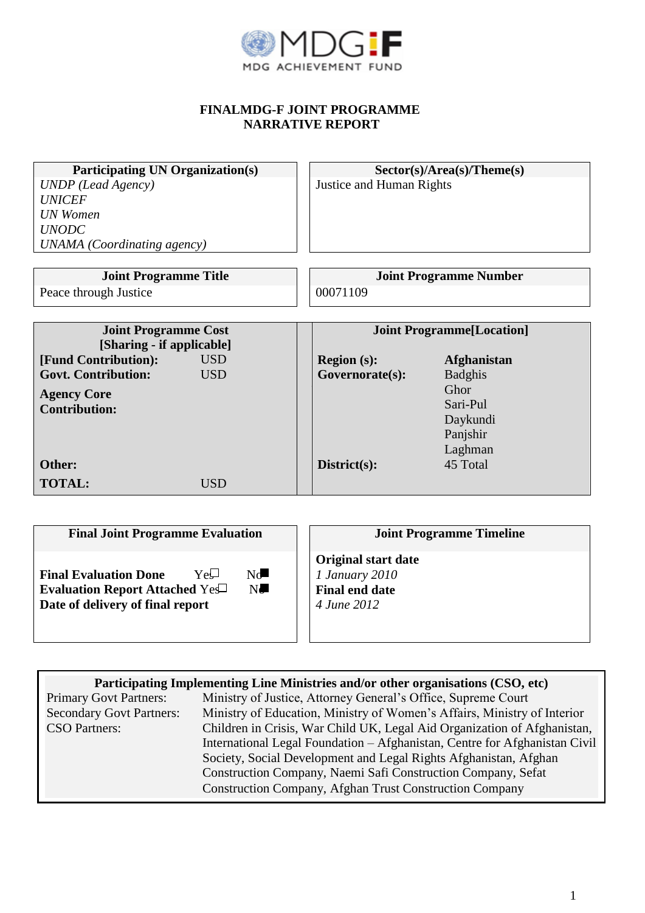

## **FINALMDG-F JOINT PROGRAMME NARRATIVE REPORT**

| <b>Participating UN Organization(s)</b>  | Sector(s)/Area(s)/Theta(s)        |                               |  |  |
|------------------------------------------|-----------------------------------|-------------------------------|--|--|
| <b>UNDP</b> (Lead Agency)                | Justice and Human Rights          |                               |  |  |
| <b>UNICEF</b>                            |                                   |                               |  |  |
| <b>UN</b> Women                          |                                   |                               |  |  |
| <b>UNODC</b>                             |                                   |                               |  |  |
| <b>UNAMA</b> (Coordinating agency)       |                                   |                               |  |  |
|                                          |                                   |                               |  |  |
| <b>Joint Programme Title</b>             |                                   | <b>Joint Programme Number</b> |  |  |
| Peace through Justice                    | 00071109                          |                               |  |  |
|                                          |                                   |                               |  |  |
| <b>Joint Programme Cost</b>              | <b>Joint Programme</b> [Location] |                               |  |  |
| [Sharing - if applicable]                |                                   |                               |  |  |
| <b>USD</b><br>[Fund Contribution]:       | <b>Region (s):</b>                | <b>Afghanistan</b>            |  |  |
| <b>USD</b><br><b>Govt. Contribution:</b> | Governorate(s):                   | <b>Badghis</b>                |  |  |
| <b>Agency Core</b>                       |                                   | Ghor                          |  |  |
| <b>Contribution:</b>                     |                                   | Sari-Pul                      |  |  |
|                                          |                                   | Daykundi                      |  |  |
|                                          |                                   | Panjshir                      |  |  |
|                                          |                                   | Laghman                       |  |  |
| Other:                                   | District(s):                      | 45 Total                      |  |  |
| <b>TOTAL:</b><br><b>USD</b>              |                                   |                               |  |  |

| <b>Final Joint Programme Evaluation</b>                                                                                        | <b>Joint Programme Timeline</b>                                                      |
|--------------------------------------------------------------------------------------------------------------------------------|--------------------------------------------------------------------------------------|
| Nc<br>YeU<br><b>Final Evaluation Done</b><br>$N_{\rm e}$<br>Evaluation Report Attached Yes<br>Date of delivery of final report | <b>Original start date</b><br>1 January 2010<br><b>Final end date</b><br>4 June 2012 |

| Participating Implementing Line Ministries and/or other organisations (CSO, etc) |                                                                            |  |  |  |  |  |
|----------------------------------------------------------------------------------|----------------------------------------------------------------------------|--|--|--|--|--|
| <b>Primary Govt Partners:</b>                                                    | Ministry of Justice, Attorney General's Office, Supreme Court              |  |  |  |  |  |
| <b>Secondary Govt Partners:</b>                                                  | Ministry of Education, Ministry of Women's Affairs, Ministry of Interior   |  |  |  |  |  |
| <b>CSO</b> Partners:                                                             | Children in Crisis, War Child UK, Legal Aid Organization of Afghanistan,   |  |  |  |  |  |
|                                                                                  | International Legal Foundation - Afghanistan, Centre for Afghanistan Civil |  |  |  |  |  |
|                                                                                  | Society, Social Development and Legal Rights Afghanistan, Afghan           |  |  |  |  |  |
|                                                                                  | Construction Company, Naemi Safi Construction Company, Sefat               |  |  |  |  |  |
|                                                                                  | <b>Construction Company, Afghan Trust Construction Company</b>             |  |  |  |  |  |
|                                                                                  |                                                                            |  |  |  |  |  |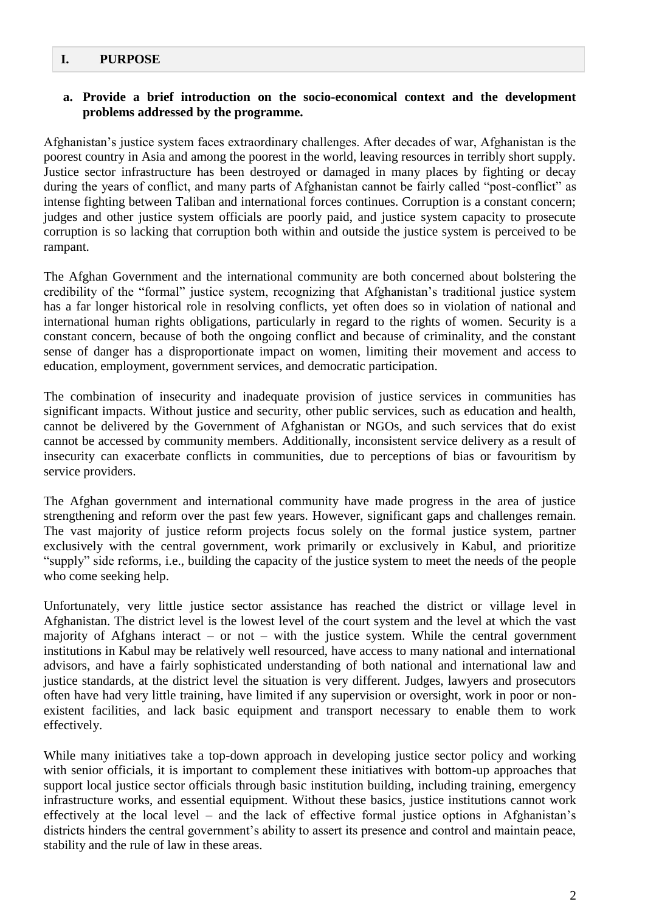### **I. PURPOSE**

#### **a. Provide a brief introduction on the socio-economical context and the development problems addressed by the programme.**

Afghanistan's justice system faces extraordinary challenges. After decades of war, Afghanistan is the poorest country in Asia and among the poorest in the world, leaving resources in terribly short supply. Justice sector infrastructure has been destroyed or damaged in many places by fighting or decay during the years of conflict, and many parts of Afghanistan cannot be fairly called "post-conflict" as intense fighting between Taliban and international forces continues. Corruption is a constant concern; judges and other justice system officials are poorly paid, and justice system capacity to prosecute corruption is so lacking that corruption both within and outside the justice system is perceived to be rampant.

The Afghan Government and the international community are both concerned about bolstering the credibility of the "formal" justice system, recognizing that Afghanistan's traditional justice system has a far longer historical role in resolving conflicts, yet often does so in violation of national and international human rights obligations, particularly in regard to the rights of women. Security is a constant concern, because of both the ongoing conflict and because of criminality, and the constant sense of danger has a disproportionate impact on women, limiting their movement and access to education, employment, government services, and democratic participation.

The combination of insecurity and inadequate provision of justice services in communities has significant impacts. Without justice and security, other public services, such as education and health, cannot be delivered by the Government of Afghanistan or NGOs, and such services that do exist cannot be accessed by community members. Additionally, inconsistent service delivery as a result of insecurity can exacerbate conflicts in communities, due to perceptions of bias or favouritism by service providers.

The Afghan government and international community have made progress in the area of justice strengthening and reform over the past few years. However, significant gaps and challenges remain. The vast majority of justice reform projects focus solely on the formal justice system, partner exclusively with the central government, work primarily or exclusively in Kabul, and prioritize "supply" side reforms, i.e., building the capacity of the justice system to meet the needs of the people who come seeking help.

Unfortunately, very little justice sector assistance has reached the district or village level in Afghanistan. The district level is the lowest level of the court system and the level at which the vast majority of Afghans interact – or not – with the justice system. While the central government institutions in Kabul may be relatively well resourced, have access to many national and international advisors, and have a fairly sophisticated understanding of both national and international law and justice standards, at the district level the situation is very different. Judges, lawyers and prosecutors often have had very little training, have limited if any supervision or oversight, work in poor or nonexistent facilities, and lack basic equipment and transport necessary to enable them to work effectively.

While many initiatives take a top-down approach in developing justice sector policy and working with senior officials, it is important to complement these initiatives with bottom-up approaches that support local justice sector officials through basic institution building, including training, emergency infrastructure works, and essential equipment. Without these basics, justice institutions cannot work effectively at the local level – and the lack of effective formal justice options in Afghanistan's districts hinders the central government's ability to assert its presence and control and maintain peace, stability and the rule of law in these areas.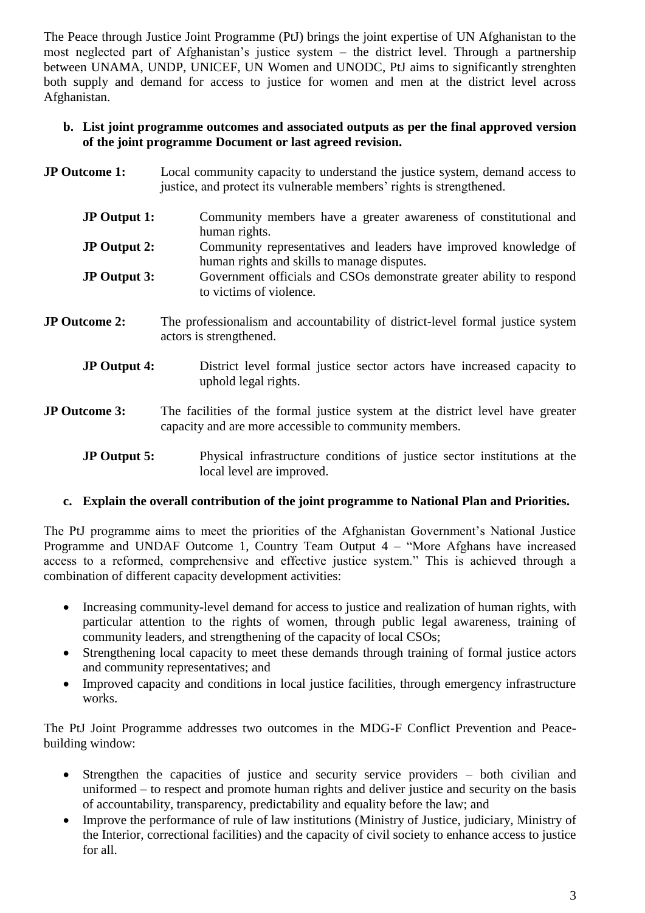The Peace through Justice Joint Programme (PtJ) brings the joint expertise of UN Afghanistan to the most neglected part of Afghanistan's justice system – the district level. Through a partnership between UNAMA, UNDP, UNICEF, UN Women and UNODC, PtJ aims to significantly strenghten both supply and demand for access to justice for women and men at the district level across Afghanistan.

#### **b. List joint programme outcomes and associated outputs as per the final approved version of the joint programme Document or last agreed revision.**

- **JP Outcome 1:** Local community capacity to understand the justice system, demand access to justice, and protect its vulnerable members' rights is strengthened.
	- **JP Output 1:** Community members have a greater awareness of constitutional and human rights.
	- **JP Output 2:** Community representatives and leaders have improved knowledge of human rights and skills to manage disputes.
	- **JP Output 3:** Government officials and CSOs demonstrate greater ability to respond to victims of violence.
- **JP Outcome 2:** The professionalism and accountability of district-level formal justice system actors is strengthened.
	- **JP Output 4:** District level formal justice sector actors have increased capacity to uphold legal rights.
- **JP Outcome 3:** The facilities of the formal justice system at the district level have greater capacity and are more accessible to community members.
	- **JP Output 5:** Physical infrastructure conditions of justice sector institutions at the local level are improved.

### **c. Explain the overall contribution of the joint programme to National Plan and Priorities.**

The PtJ programme aims to meet the priorities of the Afghanistan Government's National Justice Programme and UNDAF Outcome 1, Country Team Output 4 – "More Afghans have increased access to a reformed, comprehensive and effective justice system." This is achieved through a combination of different capacity development activities:

- Increasing community-level demand for access to justice and realization of human rights, with particular attention to the rights of women, through public legal awareness, training of community leaders, and strengthening of the capacity of local CSOs;
- Strengthening local capacity to meet these demands through training of formal justice actors and community representatives; and
- Improved capacity and conditions in local justice facilities, through emergency infrastructure works.

The PtJ Joint Programme addresses two outcomes in the MDG-F Conflict Prevention and Peacebuilding window:

- Strengthen the capacities of justice and security service providers both civilian and uniformed – to respect and promote human rights and deliver justice and security on the basis of accountability, transparency, predictability and equality before the law; and
- Improve the performance of rule of law institutions (Ministry of Justice, judiciary, Ministry of the Interior, correctional facilities) and the capacity of civil society to enhance access to justice for all.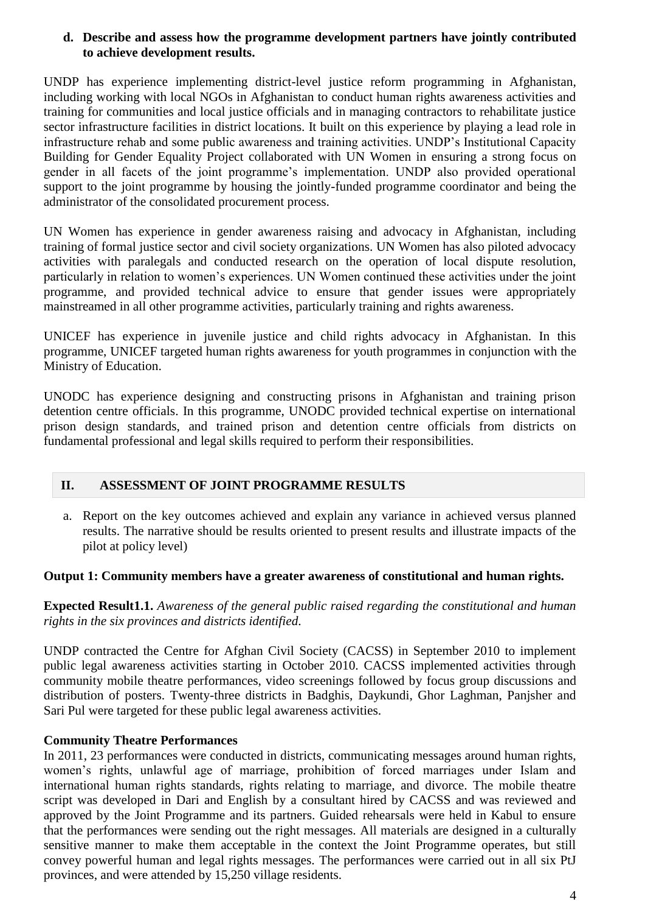#### **d. Describe and assess how the programme development partners have jointly contributed to achieve development results.**

UNDP has experience implementing district-level justice reform programming in Afghanistan, including working with local NGOs in Afghanistan to conduct human rights awareness activities and training for communities and local justice officials and in managing contractors to rehabilitate justice sector infrastructure facilities in district locations. It built on this experience by playing a lead role in infrastructure rehab and some public awareness and training activities. UNDP's Institutional Capacity Building for Gender Equality Project collaborated with UN Women in ensuring a strong focus on gender in all facets of the joint programme's implementation. UNDP also provided operational support to the joint programme by housing the jointly-funded programme coordinator and being the administrator of the consolidated procurement process.

UN Women has experience in gender awareness raising and advocacy in Afghanistan, including training of formal justice sector and civil society organizations. UN Women has also piloted advocacy activities with paralegals and conducted research on the operation of local dispute resolution, particularly in relation to women's experiences. UN Women continued these activities under the joint programme, and provided technical advice to ensure that gender issues were appropriately mainstreamed in all other programme activities, particularly training and rights awareness.

UNICEF has experience in juvenile justice and child rights advocacy in Afghanistan. In this programme, UNICEF targeted human rights awareness for youth programmes in conjunction with the Ministry of Education.

UNODC has experience designing and constructing prisons in Afghanistan and training prison detention centre officials. In this programme, UNODC provided technical expertise on international prison design standards, and trained prison and detention centre officials from districts on fundamental professional and legal skills required to perform their responsibilities.

### **II. ASSESSMENT OF JOINT PROGRAMME RESULTS**

a. Report on the key outcomes achieved and explain any variance in achieved versus planned results. The narrative should be results oriented to present results and illustrate impacts of the pilot at policy level)

### **Output 1: Community members have a greater awareness of constitutional and human rights.**

**Expected Result1.1.** *Awareness of the general public raised regarding the constitutional and human rights in the six provinces and districts identified.*

UNDP contracted the Centre for Afghan Civil Society (CACSS) in September 2010 to implement public legal awareness activities starting in October 2010. CACSS implemented activities through community mobile theatre performances, video screenings followed by focus group discussions and distribution of posters. Twenty-three districts in Badghis, Daykundi, Ghor Laghman, Panjsher and Sari Pul were targeted for these public legal awareness activities.

### **Community Theatre Performances**

In 2011, 23 performances were conducted in districts, communicating messages around human rights, women's rights, unlawful age of marriage, prohibition of forced marriages under Islam and international human rights standards, rights relating to marriage, and divorce. The mobile theatre script was developed in Dari and English by a consultant hired by CACSS and was reviewed and approved by the Joint Programme and its partners. Guided rehearsals were held in Kabul to ensure that the performances were sending out the right messages. All materials are designed in a culturally sensitive manner to make them acceptable in the context the Joint Programme operates, but still convey powerful human and legal rights messages. The performances were carried out in all six PtJ provinces, and were attended by 15,250 village residents.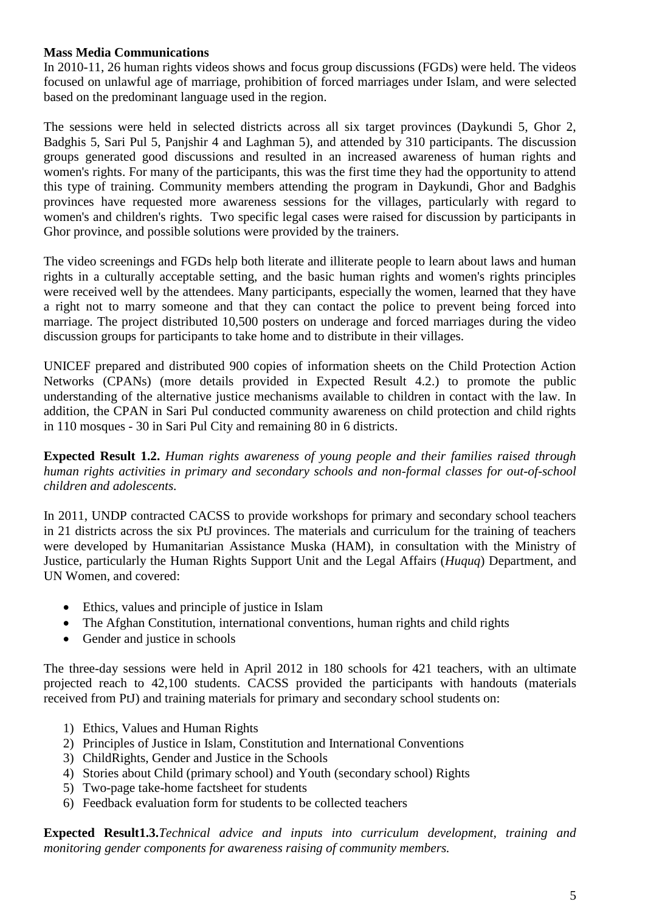### **Mass Media Communications**

In 2010-11, 26 human rights videos shows and focus group discussions (FGDs) were held. The videos focused on unlawful age of marriage, prohibition of forced marriages under Islam, and were selected based on the predominant language used in the region.

The sessions were held in selected districts across all six target provinces (Daykundi 5, Ghor 2, Badghis 5, Sari Pul 5, Panjshir 4 and Laghman 5), and attended by 310 participants. The discussion groups generated good discussions and resulted in an increased awareness of human rights and women's rights. For many of the participants, this was the first time they had the opportunity to attend this type of training. Community members attending the program in Daykundi, Ghor and Badghis provinces have requested more awareness sessions for the villages, particularly with regard to women's and children's rights. Two specific legal cases were raised for discussion by participants in Ghor province, and possible solutions were provided by the trainers.

The video screenings and FGDs help both literate and illiterate people to learn about laws and human rights in a culturally acceptable setting, and the basic human rights and women's rights principles were received well by the attendees. Many participants, especially the women, learned that they have a right not to marry someone and that they can contact the police to prevent being forced into marriage. The project distributed 10,500 posters on underage and forced marriages during the video discussion groups for participants to take home and to distribute in their villages.

UNICEF prepared and distributed 900 copies of information sheets on the Child Protection Action Networks (CPANs) (more details provided in Expected Result 4.2.) to promote the public understanding of the alternative justice mechanisms available to children in contact with the law. In addition, the CPAN in Sari Pul conducted community awareness on child protection and child rights in 110 mosques - 30 in Sari Pul City and remaining 80 in 6 districts.

**Expected Result 1.2.** *Human rights awareness of young people and their families raised through human rights activities in primary and secondary schools and non-formal classes for out-of-school children and adolescents.*

In 2011, UNDP contracted CACSS to provide workshops for primary and secondary school teachers in 21 districts across the six PtJ provinces. The materials and curriculum for the training of teachers were developed by Humanitarian Assistance Muska (HAM), in consultation with the Ministry of Justice, particularly the Human Rights Support Unit and the Legal Affairs (*Huquq*) Department, and UN Women, and covered:

- Ethics, values and principle of justice in Islam
- The Afghan Constitution, international conventions, human rights and child rights
- Gender and justice in schools

The three-day sessions were held in April 2012 in 180 schools for 421 teachers, with an ultimate projected reach to 42,100 students. CACSS provided the participants with handouts (materials received from PtJ) and training materials for primary and secondary school students on:

- 1) Ethics, Values and Human Rights
- 2) Principles of Justice in Islam, Constitution and International Conventions
- 3) ChildRights, Gender and Justice in the Schools
- 4) Stories about Child (primary school) and Youth (secondary school) Rights
- 5) Two-page take-home factsheet for students
- 6) Feedback evaluation form for students to be collected teachers

**Expected Result1.3.***Technical advice and inputs into curriculum development, training and monitoring gender components for awareness raising of community members.*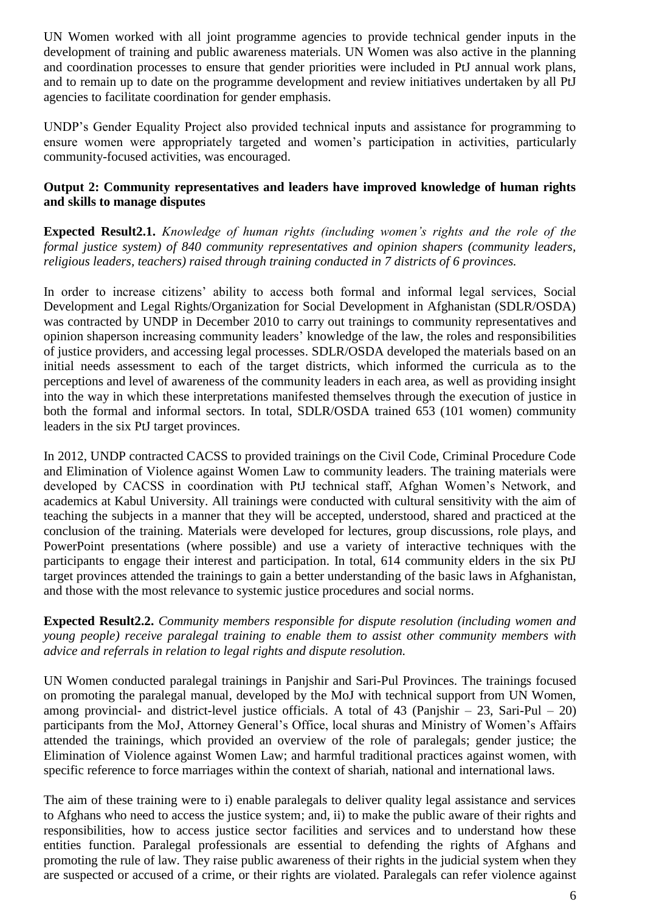UN Women worked with all joint programme agencies to provide technical gender inputs in the development of training and public awareness materials. UN Women was also active in the planning and coordination processes to ensure that gender priorities were included in PtJ annual work plans, and to remain up to date on the programme development and review initiatives undertaken by all PtJ agencies to facilitate coordination for gender emphasis.

UNDP's Gender Equality Project also provided technical inputs and assistance for programming to ensure women were appropriately targeted and women's participation in activities, particularly community-focused activities, was encouraged.

## **Output 2: Community representatives and leaders have improved knowledge of human rights and skills to manage disputes**

**Expected Result2.1.** *Knowledge of human rights (including women's rights and the role of the formal justice system) of 840 community representatives and opinion shapers (community leaders, religious leaders, teachers) raised through training conducted in 7 districts of 6 provinces.*

In order to increase citizens' ability to access both formal and informal legal services, Social Development and Legal Rights/Organization for Social Development in Afghanistan (SDLR/OSDA) was contracted by UNDP in December 2010 to carry out trainings to community representatives and opinion shaperson increasing community leaders' knowledge of the law, the roles and responsibilities of justice providers, and accessing legal processes. SDLR/OSDA developed the materials based on an initial needs assessment to each of the target districts, which informed the curricula as to the perceptions and level of awareness of the community leaders in each area, as well as providing insight into the way in which these interpretations manifested themselves through the execution of justice in both the formal and informal sectors. In total, SDLR/OSDA trained 653 (101 women) community leaders in the six PtJ target provinces.

In 2012, UNDP contracted CACSS to provided trainings on the Civil Code, Criminal Procedure Code and Elimination of Violence against Women Law to community leaders. The training materials were developed by CACSS in coordination with PtJ technical staff, Afghan Women's Network, and academics at Kabul University. All trainings were conducted with cultural sensitivity with the aim of teaching the subjects in a manner that they will be accepted, understood, shared and practiced at the conclusion of the training. Materials were developed for lectures, group discussions, role plays, and PowerPoint presentations (where possible) and use a variety of interactive techniques with the participants to engage their interest and participation. In total, 614 community elders in the six PtJ target provinces attended the trainings to gain a better understanding of the basic laws in Afghanistan, and those with the most relevance to systemic justice procedures and social norms.

**Expected Result2.2.** *Community members responsible for dispute resolution (including women and young people) receive paralegal training to enable them to assist other community members with advice and referrals in relation to legal rights and dispute resolution.*

UN Women conducted paralegal trainings in Panjshir and Sari-Pul Provinces. The trainings focused on promoting the paralegal manual, developed by the MoJ with technical support from UN Women, among provincial- and district-level justice officials. A total of 43 (Panjshir  $-23$ , Sari-Pul  $-20$ ) participants from the MoJ, Attorney General's Office, local shuras and Ministry of Women's Affairs attended the trainings, which provided an overview of the role of paralegals; gender justice; the Elimination of Violence against Women Law; and harmful traditional practices against women, with specific reference to force marriages within the context of shariah, national and international laws.

The aim of these training were to i) enable paralegals to deliver quality legal assistance and services to Afghans who need to access the justice system; and, ii) to make the public aware of their rights and responsibilities, how to access justice sector facilities and services and to understand how these entities function. Paralegal professionals are essential to defending the rights of Afghans and promoting the rule of law. They raise public awareness of their rights in the judicial system when they are suspected or accused of a crime, or their rights are violated. Paralegals can refer violence against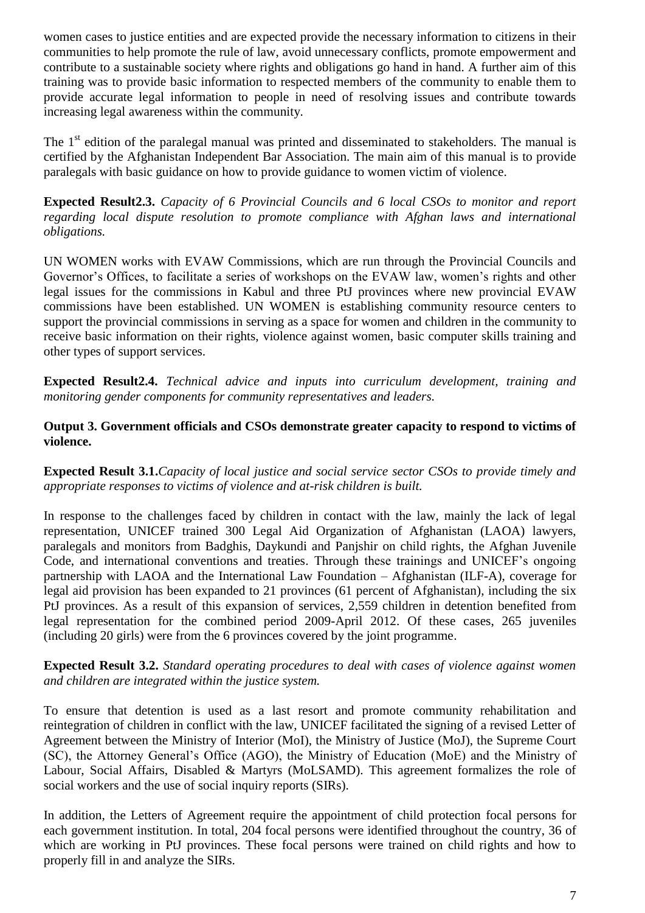women cases to justice entities and are expected provide the necessary information to citizens in their communities to help promote the rule of law, avoid unnecessary conflicts, promote empowerment and contribute to a sustainable society where rights and obligations go hand in hand. A further aim of this training was to provide basic information to respected members of the community to enable them to provide accurate legal information to people in need of resolving issues and contribute towards increasing legal awareness within the community.

The  $1<sup>st</sup>$  edition of the paralegal manual was printed and disseminated to stakeholders. The manual is certified by the Afghanistan Independent Bar Association. The main aim of this manual is to provide paralegals with basic guidance on how to provide guidance to women victim of violence.

**Expected Result2.3.** *Capacity of 6 Provincial Councils and 6 local CSOs to monitor and report regarding local dispute resolution to promote compliance with Afghan laws and international obligations.*

UN WOMEN works with EVAW Commissions, which are run through the Provincial Councils and Governor's Offices, to facilitate a series of workshops on the EVAW law, women's rights and other legal issues for the commissions in Kabul and three PtJ provinces where new provincial EVAW commissions have been established. UN WOMEN is establishing community resource centers to support the provincial commissions in serving as a space for women and children in the community to receive basic information on their rights, violence against women, basic computer skills training and other types of support services.

**Expected Result2.4.** *Technical advice and inputs into curriculum development, training and monitoring gender components for community representatives and leaders.*

#### **Output 3. Government officials and CSOs demonstrate greater capacity to respond to victims of violence.**

**Expected Result 3.1.***Capacity of local justice and social service sector CSOs to provide timely and appropriate responses to victims of violence and at-risk children is built.*

In response to the challenges faced by children in contact with the law, mainly the lack of legal representation, UNICEF trained 300 Legal Aid Organization of Afghanistan (LAOA) lawyers, paralegals and monitors from Badghis, Daykundi and Panjshir on child rights, the Afghan Juvenile Code, and international conventions and treaties. Through these trainings and UNICEF's ongoing partnership with LAOA and the International Law Foundation – Afghanistan (ILF-A), coverage for legal aid provision has been expanded to 21 provinces (61 percent of Afghanistan), including the six PtJ provinces. As a result of this expansion of services, 2,559 children in detention benefited from legal representation for the combined period 2009-April 2012. Of these cases, 265 juveniles (including 20 girls) were from the 6 provinces covered by the joint programme.

#### **Expected Result 3.2.** *Standard operating procedures to deal with cases of violence against women and children are integrated within the justice system.*

To ensure that detention is used as a last resort and promote community rehabilitation and reintegration of children in conflict with the law, UNICEF facilitated the signing of a revised Letter of Agreement between the Ministry of Interior (MoI), the Ministry of Justice (MoJ), the Supreme Court (SC), the Attorney General's Office (AGO), the Ministry of Education (MoE) and the Ministry of Labour, Social Affairs, Disabled & Martyrs (MoLSAMD). This agreement formalizes the role of social workers and the use of social inquiry reports (SIRs).

In addition, the Letters of Agreement require the appointment of child protection focal persons for each government institution. In total, 204 focal persons were identified throughout the country, 36 of which are working in PtJ provinces. These focal persons were trained on child rights and how to properly fill in and analyze the SIRs.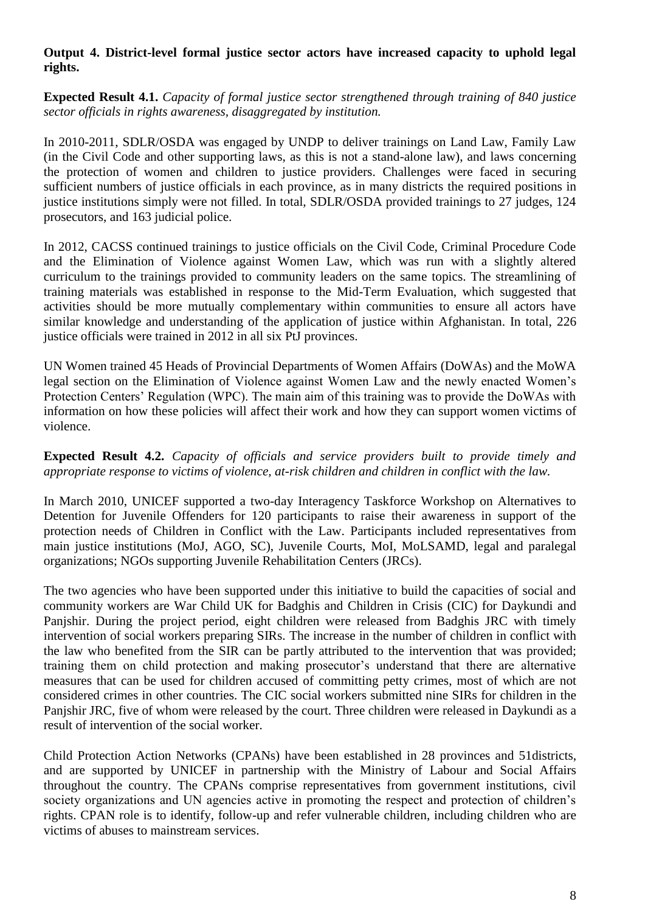## **Output 4. District-level formal justice sector actors have increased capacity to uphold legal rights.**

**Expected Result 4.1.** *Capacity of formal justice sector strengthened through training of 840 justice sector officials in rights awareness, disaggregated by institution.*

In 2010-2011, SDLR/OSDA was engaged by UNDP to deliver trainings on Land Law, Family Law (in the Civil Code and other supporting laws, as this is not a stand-alone law), and laws concerning the protection of women and children to justice providers. Challenges were faced in securing sufficient numbers of justice officials in each province, as in many districts the required positions in justice institutions simply were not filled. In total, SDLR/OSDA provided trainings to 27 judges, 124 prosecutors, and 163 judicial police.

In 2012, CACSS continued trainings to justice officials on the Civil Code, Criminal Procedure Code and the Elimination of Violence against Women Law, which was run with a slightly altered curriculum to the trainings provided to community leaders on the same topics. The streamlining of training materials was established in response to the Mid-Term Evaluation, which suggested that activities should be more mutually complementary within communities to ensure all actors have similar knowledge and understanding of the application of justice within Afghanistan. In total, 226 justice officials were trained in 2012 in all six PtJ provinces.

UN Women trained 45 Heads of Provincial Departments of Women Affairs (DoWAs) and the MoWA legal section on the Elimination of Violence against Women Law and the newly enacted Women's Protection Centers' Regulation (WPC). The main aim of this training was to provide the DoWAs with information on how these policies will affect their work and how they can support women victims of violence.

**Expected Result 4.2.** *Capacity of officials and service providers built to provide timely and appropriate response to victims of violence, at-risk children and children in conflict with the law.*

In March 2010, UNICEF supported a two-day Interagency Taskforce Workshop on Alternatives to Detention for Juvenile Offenders for 120 participants to raise their awareness in support of the protection needs of Children in Conflict with the Law. Participants included representatives from main justice institutions (MoJ, AGO, SC), Juvenile Courts, MoI, MoLSAMD, legal and paralegal organizations; NGOs supporting Juvenile Rehabilitation Centers (JRCs).

The two agencies who have been supported under this initiative to build the capacities of social and community workers are War Child UK for Badghis and Children in Crisis (CIC) for Daykundi and Panjshir. During the project period, eight children were released from Badghis JRC with timely intervention of social workers preparing SIRs. The increase in the number of children in conflict with the law who benefited from the SIR can be partly attributed to the intervention that was provided; training them on child protection and making prosecutor's understand that there are alternative measures that can be used for children accused of committing petty crimes, most of which are not considered crimes in other countries. The CIC social workers submitted nine SIRs for children in the Panjshir JRC, five of whom were released by the court. Three children were released in Daykundi as a result of intervention of the social worker.

Child Protection Action Networks (CPANs) have been established in 28 provinces and 51districts, and are supported by UNICEF in partnership with the Ministry of Labour and Social Affairs throughout the country. The CPANs comprise representatives from government institutions, civil society organizations and UN agencies active in promoting the respect and protection of children's rights. CPAN role is to identify, follow-up and refer vulnerable children, including children who are victims of abuses to mainstream services.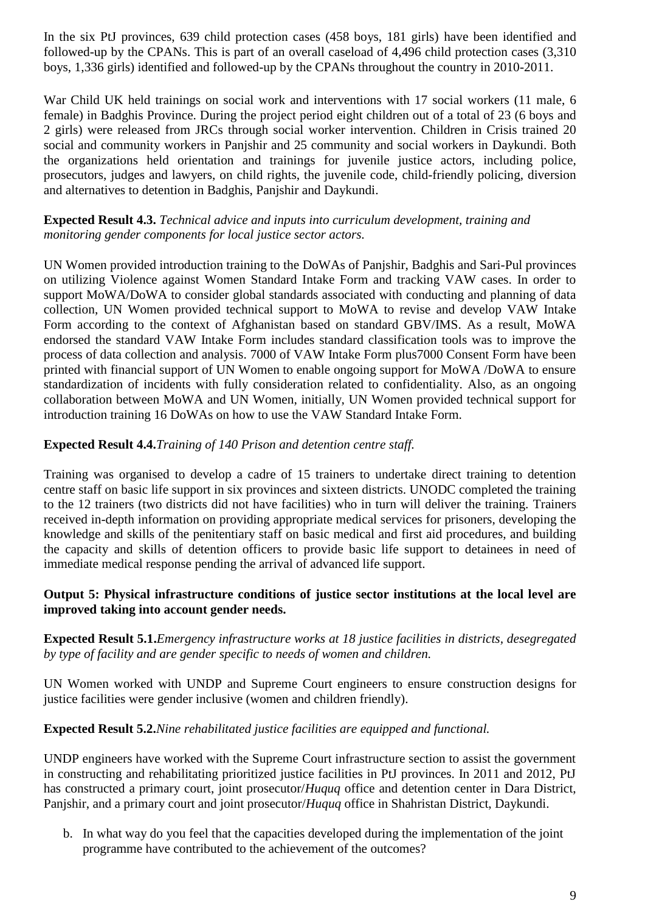In the six PtJ provinces, 639 child protection cases (458 boys, 181 girls) have been identified and followed-up by the CPANs. This is part of an overall caseload of 4,496 child protection cases (3,310 boys, 1,336 girls) identified and followed-up by the CPANs throughout the country in 2010-2011.

War Child UK held trainings on social work and interventions with 17 social workers (11 male, 6 female) in Badghis Province. During the project period eight children out of a total of 23 (6 boys and 2 girls) were released from JRCs through social worker intervention. Children in Crisis trained 20 social and community workers in Panjshir and 25 community and social workers in Daykundi. Both the organizations held orientation and trainings for juvenile justice actors, including police, prosecutors, judges and lawyers, on child rights, the juvenile code, child-friendly policing, diversion and alternatives to detention in Badghis, Panjshir and Daykundi.

#### **Expected Result 4.3.** *Technical advice and inputs into curriculum development, training and monitoring gender components for local justice sector actors.*

UN Women provided introduction training to the DoWAs of Panjshir, Badghis and Sari-Pul provinces on utilizing Violence against Women Standard Intake Form and tracking VAW cases. In order to support MoWA/DoWA to consider global standards associated with conducting and planning of data collection, UN Women provided technical support to MoWA to revise and develop VAW Intake Form according to the context of Afghanistan based on standard GBV/IMS. As a result, MoWA endorsed the standard VAW Intake Form includes standard classification tools was to improve the process of data collection and analysis. 7000 of VAW Intake Form plus7000 Consent Form have been printed with financial support of UN Women to enable ongoing support for MoWA /DoWA to ensure standardization of incidents with fully consideration related to confidentiality. Also, as an ongoing collaboration between MoWA and UN Women, initially, UN Women provided technical support for introduction training 16 DoWAs on how to use the VAW Standard Intake Form.

## **Expected Result 4.4.***Training of 140 Prison and detention centre staff.*

Training was organised to develop a cadre of 15 trainers to undertake direct training to detention centre staff on basic life support in six provinces and sixteen districts. UNODC completed the training to the 12 trainers (two districts did not have facilities) who in turn will deliver the training. Trainers received in-depth information on providing appropriate medical services for prisoners, developing the knowledge and skills of the penitentiary staff on basic medical and first aid procedures, and building the capacity and skills of detention officers to provide basic life support to detainees in need of immediate medical response pending the arrival of advanced life support.

### **Output 5: Physical infrastructure conditions of justice sector institutions at the local level are improved taking into account gender needs.**

## **Expected Result 5.1.***Emergency infrastructure works at 18 justice facilities in districts, desegregated by type of facility and are gender specific to needs of women and children.*

UN Women worked with UNDP and Supreme Court engineers to ensure construction designs for justice facilities were gender inclusive (women and children friendly).

### **Expected Result 5.2.***Nine rehabilitated justice facilities are equipped and functional.*

UNDP engineers have worked with the Supreme Court infrastructure section to assist the government in constructing and rehabilitating prioritized justice facilities in PtJ provinces. In 2011 and 2012, PtJ has constructed a primary court, joint prosecutor/*Huquq* office and detention center in Dara District, Panjshir, and a primary court and joint prosecutor/*Huquq* office in Shahristan District, Daykundi.

b. In what way do you feel that the capacities developed during the implementation of the joint programme have contributed to the achievement of the outcomes?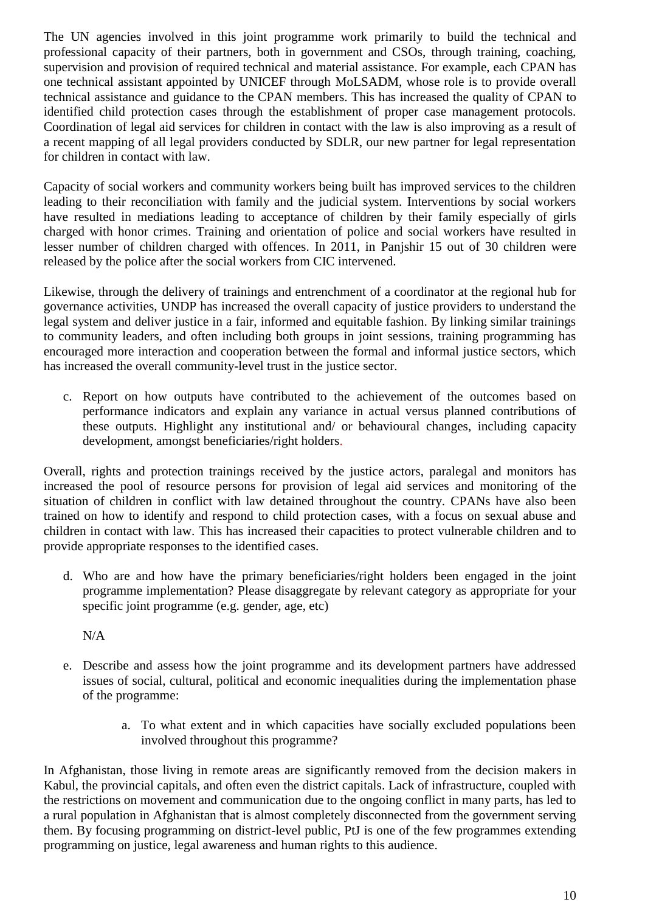The UN agencies involved in this joint programme work primarily to build the technical and professional capacity of their partners, both in government and CSOs, through training, coaching, supervision and provision of required technical and material assistance. For example, each CPAN has one technical assistant appointed by UNICEF through MoLSADM, whose role is to provide overall technical assistance and guidance to the CPAN members. This has increased the quality of CPAN to identified child protection cases through the establishment of proper case management protocols. Coordination of legal aid services for children in contact with the law is also improving as a result of a recent mapping of all legal providers conducted by SDLR, our new partner for legal representation for children in contact with law.

Capacity of social workers and community workers being built has improved services to the children leading to their reconciliation with family and the judicial system. Interventions by social workers have resulted in mediations leading to acceptance of children by their family especially of girls charged with honor crimes. Training and orientation of police and social workers have resulted in lesser number of children charged with offences. In 2011, in Panjshir 15 out of 30 children were released by the police after the social workers from CIC intervened.

Likewise, through the delivery of trainings and entrenchment of a coordinator at the regional hub for governance activities, UNDP has increased the overall capacity of justice providers to understand the legal system and deliver justice in a fair, informed and equitable fashion. By linking similar trainings to community leaders, and often including both groups in joint sessions, training programming has encouraged more interaction and cooperation between the formal and informal justice sectors, which has increased the overall community-level trust in the justice sector.

c. Report on how outputs have contributed to the achievement of the outcomes based on performance indicators and explain any variance in actual versus planned contributions of these outputs. Highlight any institutional and/ or behavioural changes, including capacity development, amongst beneficiaries/right holders.

Overall, rights and protection trainings received by the justice actors, paralegal and monitors has increased the pool of resource persons for provision of legal aid services and monitoring of the situation of children in conflict with law detained throughout the country. CPANs have also been trained on how to identify and respond to child protection cases, with a focus on sexual abuse and children in contact with law. This has increased their capacities to protect vulnerable children and to provide appropriate responses to the identified cases.

d. Who are and how have the primary beneficiaries/right holders been engaged in the joint programme implementation? Please disaggregate by relevant category as appropriate for your specific joint programme (e.g. gender, age, etc)

 $N/A$ 

- e. Describe and assess how the joint programme and its development partners have addressed issues of social, cultural, political and economic inequalities during the implementation phase of the programme:
	- a. To what extent and in which capacities have socially excluded populations been involved throughout this programme?

In Afghanistan, those living in remote areas are significantly removed from the decision makers in Kabul, the provincial capitals, and often even the district capitals. Lack of infrastructure, coupled with the restrictions on movement and communication due to the ongoing conflict in many parts, has led to a rural population in Afghanistan that is almost completely disconnected from the government serving them. By focusing programming on district-level public, PtJ is one of the few programmes extending programming on justice, legal awareness and human rights to this audience.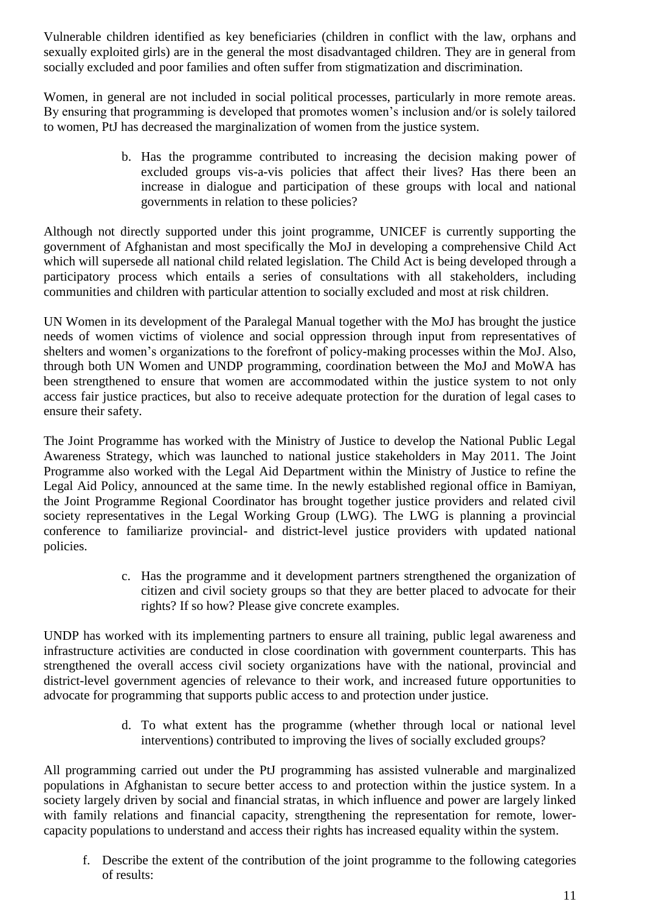Vulnerable children identified as key beneficiaries (children in conflict with the law, orphans and sexually exploited girls) are in the general the most disadvantaged children. They are in general from socially excluded and poor families and often suffer from stigmatization and discrimination.

Women, in general are not included in social political processes, particularly in more remote areas. By ensuring that programming is developed that promotes women's inclusion and/or is solely tailored to women, PtJ has decreased the marginalization of women from the justice system.

> b. Has the programme contributed to increasing the decision making power of excluded groups vis-a-vis policies that affect their lives? Has there been an increase in dialogue and participation of these groups with local and national governments in relation to these policies?

Although not directly supported under this joint programme, UNICEF is currently supporting the government of Afghanistan and most specifically the MoJ in developing a comprehensive Child Act which will supersede all national child related legislation. The Child Act is being developed through a participatory process which entails a series of consultations with all stakeholders, including communities and children with particular attention to socially excluded and most at risk children.

UN Women in its development of the Paralegal Manual together with the MoJ has brought the justice needs of women victims of violence and social oppression through input from representatives of shelters and women's organizations to the forefront of policy-making processes within the MoJ. Also, through both UN Women and UNDP programming, coordination between the MoJ and MoWA has been strengthened to ensure that women are accommodated within the justice system to not only access fair justice practices, but also to receive adequate protection for the duration of legal cases to ensure their safety.

The Joint Programme has worked with the Ministry of Justice to develop the National Public Legal Awareness Strategy, which was launched to national justice stakeholders in May 2011. The Joint Programme also worked with the Legal Aid Department within the Ministry of Justice to refine the Legal Aid Policy, announced at the same time. In the newly established regional office in Bamiyan, the Joint Programme Regional Coordinator has brought together justice providers and related civil society representatives in the Legal Working Group (LWG). The LWG is planning a provincial conference to familiarize provincial- and district-level justice providers with updated national policies.

> c. Has the programme and it development partners strengthened the organization of citizen and civil society groups so that they are better placed to advocate for their rights? If so how? Please give concrete examples.

UNDP has worked with its implementing partners to ensure all training, public legal awareness and infrastructure activities are conducted in close coordination with government counterparts. This has strengthened the overall access civil society organizations have with the national, provincial and district-level government agencies of relevance to their work, and increased future opportunities to advocate for programming that supports public access to and protection under justice.

> d. To what extent has the programme (whether through local or national level interventions) contributed to improving the lives of socially excluded groups?

All programming carried out under the PtJ programming has assisted vulnerable and marginalized populations in Afghanistan to secure better access to and protection within the justice system. In a society largely driven by social and financial stratas, in which influence and power are largely linked with family relations and financial capacity, strengthening the representation for remote, lowercapacity populations to understand and access their rights has increased equality within the system.

f. Describe the extent of the contribution of the joint programme to the following categories of results: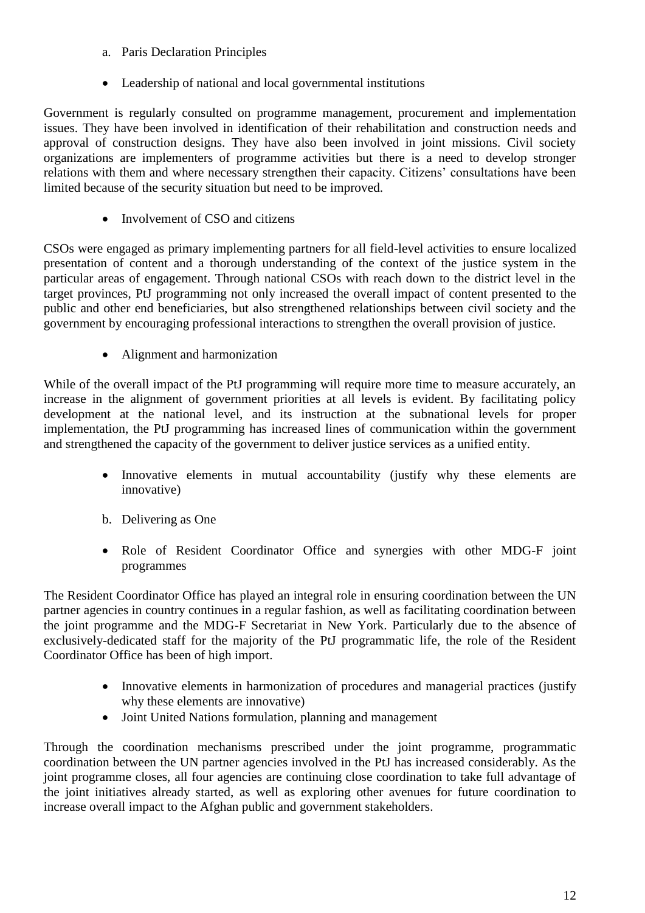- a. Paris Declaration Principles
- Leadership of national and local governmental institutions

Government is regularly consulted on programme management, procurement and implementation issues. They have been involved in identification of their rehabilitation and construction needs and approval of construction designs. They have also been involved in joint missions. Civil society organizations are implementers of programme activities but there is a need to develop stronger relations with them and where necessary strengthen their capacity. Citizens' consultations have been limited because of the security situation but need to be improved.

• Involvement of CSO and citizens

CSOs were engaged as primary implementing partners for all field-level activities to ensure localized presentation of content and a thorough understanding of the context of the justice system in the particular areas of engagement. Through national CSOs with reach down to the district level in the target provinces, PtJ programming not only increased the overall impact of content presented to the public and other end beneficiaries, but also strengthened relationships between civil society and the government by encouraging professional interactions to strengthen the overall provision of justice.

• Alignment and harmonization

While of the overall impact of the PtJ programming will require more time to measure accurately, an increase in the alignment of government priorities at all levels is evident. By facilitating policy development at the national level, and its instruction at the subnational levels for proper implementation, the PtJ programming has increased lines of communication within the government and strengthened the capacity of the government to deliver justice services as a unified entity.

- Innovative elements in mutual accountability (justify why these elements are innovative)
- b. Delivering as One
- Role of Resident Coordinator Office and synergies with other MDG-F joint programmes

The Resident Coordinator Office has played an integral role in ensuring coordination between the UN partner agencies in country continues in a regular fashion, as well as facilitating coordination between the joint programme and the MDG-F Secretariat in New York. Particularly due to the absence of exclusively-dedicated staff for the majority of the PtJ programmatic life, the role of the Resident Coordinator Office has been of high import.

- Innovative elements in harmonization of procedures and managerial practices (justify why these elements are innovative)
- Joint United Nations formulation, planning and management

Through the coordination mechanisms prescribed under the joint programme, programmatic coordination between the UN partner agencies involved in the PtJ has increased considerably. As the joint programme closes, all four agencies are continuing close coordination to take full advantage of the joint initiatives already started, as well as exploring other avenues for future coordination to increase overall impact to the Afghan public and government stakeholders.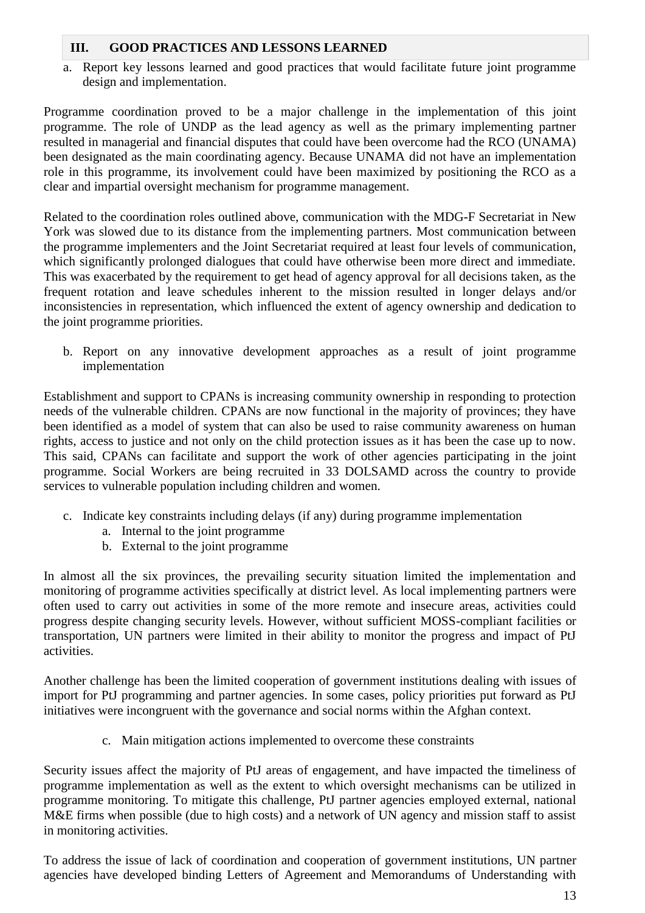## **III. GOOD PRACTICES AND LESSONS LEARNED**

a. Report key lessons learned and good practices that would facilitate future joint programme design and implementation.

Programme coordination proved to be a major challenge in the implementation of this joint programme. The role of UNDP as the lead agency as well as the primary implementing partner resulted in managerial and financial disputes that could have been overcome had the RCO (UNAMA) been designated as the main coordinating agency. Because UNAMA did not have an implementation role in this programme, its involvement could have been maximized by positioning the RCO as a clear and impartial oversight mechanism for programme management.

Related to the coordination roles outlined above, communication with the MDG-F Secretariat in New York was slowed due to its distance from the implementing partners. Most communication between the programme implementers and the Joint Secretariat required at least four levels of communication, which significantly prolonged dialogues that could have otherwise been more direct and immediate. This was exacerbated by the requirement to get head of agency approval for all decisions taken, as the frequent rotation and leave schedules inherent to the mission resulted in longer delays and/or inconsistencies in representation, which influenced the extent of agency ownership and dedication to the joint programme priorities.

b. Report on any innovative development approaches as a result of joint programme implementation

Establishment and support to CPANs is increasing community ownership in responding to protection needs of the vulnerable children. CPANs are now functional in the majority of provinces; they have been identified as a model of system that can also be used to raise community awareness on human rights, access to justice and not only on the child protection issues as it has been the case up to now. This said, CPANs can facilitate and support the work of other agencies participating in the joint programme. Social Workers are being recruited in 33 DOLSAMD across the country to provide services to vulnerable population including children and women.

- c. Indicate key constraints including delays (if any) during programme implementation
	- a. Internal to the joint programme
	- b. External to the joint programme

In almost all the six provinces, the prevailing security situation limited the implementation and monitoring of programme activities specifically at district level. As local implementing partners were often used to carry out activities in some of the more remote and insecure areas, activities could progress despite changing security levels. However, without sufficient MOSS-compliant facilities or transportation, UN partners were limited in their ability to monitor the progress and impact of PtJ activities.

Another challenge has been the limited cooperation of government institutions dealing with issues of import for PtJ programming and partner agencies. In some cases, policy priorities put forward as PtJ initiatives were incongruent with the governance and social norms within the Afghan context.

c. Main mitigation actions implemented to overcome these constraints

Security issues affect the majority of PtJ areas of engagement, and have impacted the timeliness of programme implementation as well as the extent to which oversight mechanisms can be utilized in programme monitoring. To mitigate this challenge, PtJ partner agencies employed external, national M&E firms when possible (due to high costs) and a network of UN agency and mission staff to assist in monitoring activities.

To address the issue of lack of coordination and cooperation of government institutions, UN partner agencies have developed binding Letters of Agreement and Memorandums of Understanding with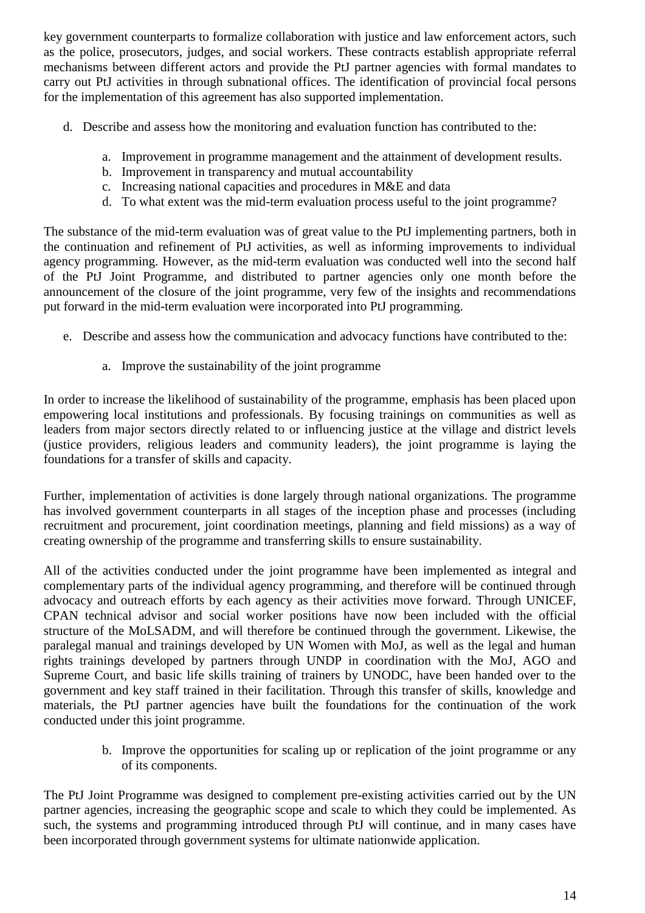key government counterparts to formalize collaboration with justice and law enforcement actors, such as the police, prosecutors, judges, and social workers. These contracts establish appropriate referral mechanisms between different actors and provide the PtJ partner agencies with formal mandates to carry out PtJ activities in through subnational offices. The identification of provincial focal persons for the implementation of this agreement has also supported implementation.

- d. Describe and assess how the monitoring and evaluation function has contributed to the:
	- a. Improvement in programme management and the attainment of development results.
	- b. Improvement in transparency and mutual accountability
	- c. Increasing national capacities and procedures in M&E and data
	- d. To what extent was the mid-term evaluation process useful to the joint programme?

The substance of the mid-term evaluation was of great value to the PtJ implementing partners, both in the continuation and refinement of PtJ activities, as well as informing improvements to individual agency programming. However, as the mid-term evaluation was conducted well into the second half of the PtJ Joint Programme, and distributed to partner agencies only one month before the announcement of the closure of the joint programme, very few of the insights and recommendations put forward in the mid-term evaluation were incorporated into PtJ programming.

- e. Describe and assess how the communication and advocacy functions have contributed to the:
	- a. Improve the sustainability of the joint programme

In order to increase the likelihood of sustainability of the programme, emphasis has been placed upon empowering local institutions and professionals. By focusing trainings on communities as well as leaders from major sectors directly related to or influencing justice at the village and district levels (justice providers, religious leaders and community leaders), the joint programme is laying the foundations for a transfer of skills and capacity.

Further, implementation of activities is done largely through national organizations. The programme has involved government counterparts in all stages of the inception phase and processes (including recruitment and procurement, joint coordination meetings, planning and field missions) as a way of creating ownership of the programme and transferring skills to ensure sustainability.

All of the activities conducted under the joint programme have been implemented as integral and complementary parts of the individual agency programming, and therefore will be continued through advocacy and outreach efforts by each agency as their activities move forward. Through UNICEF, CPAN technical advisor and social worker positions have now been included with the official structure of the MoLSADM, and will therefore be continued through the government. Likewise, the paralegal manual and trainings developed by UN Women with MoJ, as well as the legal and human rights trainings developed by partners through UNDP in coordination with the MoJ, AGO and Supreme Court, and basic life skills training of trainers by UNODC, have been handed over to the government and key staff trained in their facilitation. Through this transfer of skills, knowledge and materials, the PtJ partner agencies have built the foundations for the continuation of the work conducted under this joint programme.

> b. Improve the opportunities for scaling up or replication of the joint programme or any of its components.

The PtJ Joint Programme was designed to complement pre-existing activities carried out by the UN partner agencies, increasing the geographic scope and scale to which they could be implemented. As such, the systems and programming introduced through PtJ will continue, and in many cases have been incorporated through government systems for ultimate nationwide application.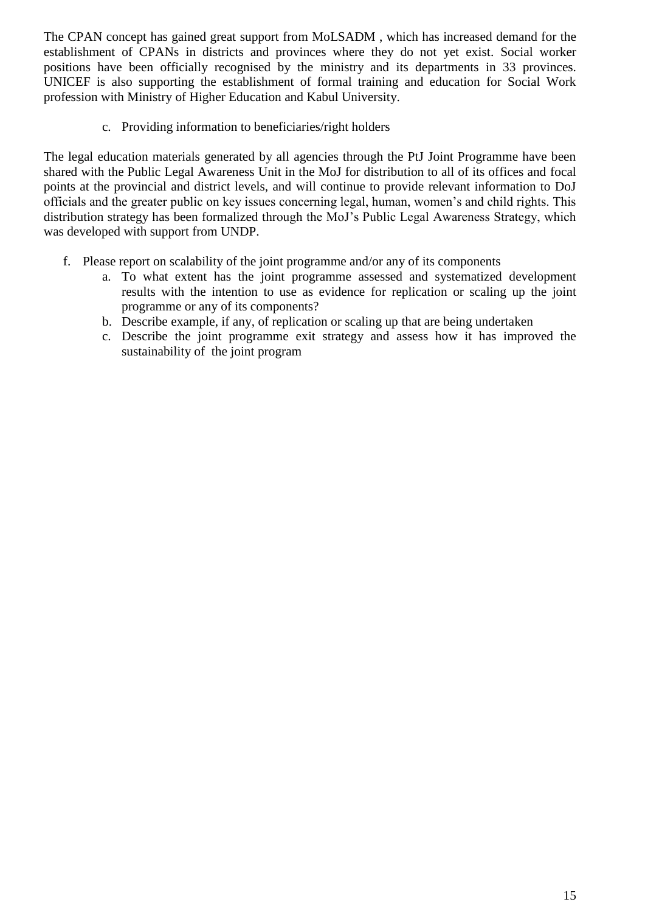The CPAN concept has gained great support from MoLSADM , which has increased demand for the establishment of CPANs in districts and provinces where they do not yet exist. Social worker positions have been officially recognised by the ministry and its departments in 33 provinces. UNICEF is also supporting the establishment of formal training and education for Social Work profession with Ministry of Higher Education and Kabul University.

c. Providing information to beneficiaries/right holders

The legal education materials generated by all agencies through the PtJ Joint Programme have been shared with the Public Legal Awareness Unit in the MoJ for distribution to all of its offices and focal points at the provincial and district levels, and will continue to provide relevant information to DoJ officials and the greater public on key issues concerning legal, human, women's and child rights. This distribution strategy has been formalized through the MoJ's Public Legal Awareness Strategy, which was developed with support from UNDP.

- f. Please report on scalability of the joint programme and/or any of its components
	- a. To what extent has the joint programme assessed and systematized development results with the intention to use as evidence for replication or scaling up the joint programme or any of its components?
	- b. Describe example, if any, of replication or scaling up that are being undertaken
	- c. Describe the joint programme exit strategy and assess how it has improved the sustainability of the joint program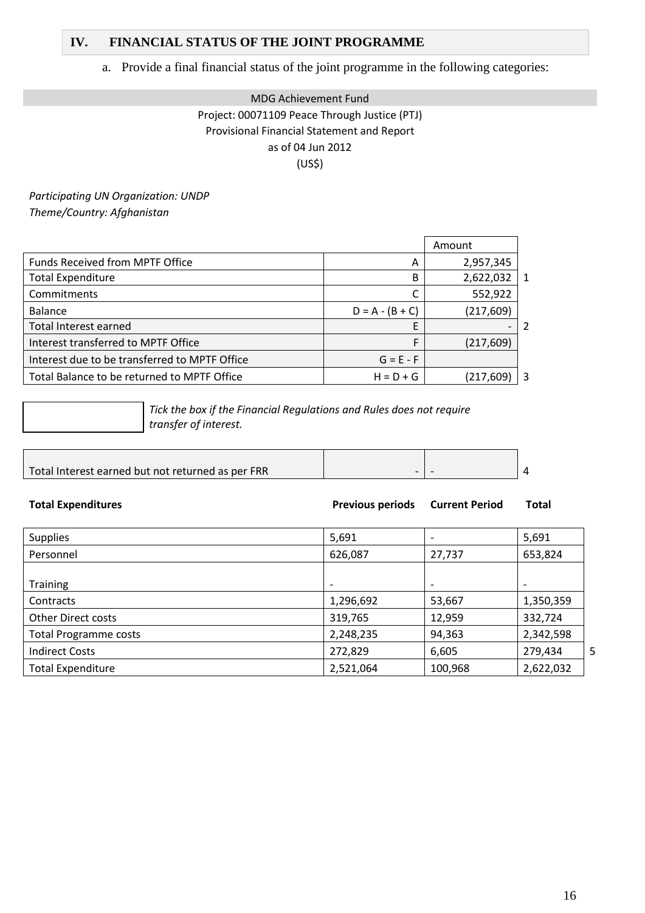### **IV. FINANCIAL STATUS OF THE JOINT PROGRAMME**

## a. Provide a final financial status of the joint programme in the following categories:

## MDG Achievement Fund Project: 00071109 Peace Through Justice (PTJ) Provisional Financial Statement and Report as of 04 Jun 2012 (US\$)

*Participating UN Organization: UNDP Theme/Country: Afghanistan* 

|                                               |                   | Amount     |                |
|-----------------------------------------------|-------------------|------------|----------------|
| <b>Funds Received from MPTF Office</b>        | A                 | 2,957,345  |                |
| <b>Total Expenditure</b>                      | В                 | 2,622,032  | $\overline{1}$ |
| Commitments                                   |                   | 552,922    |                |
| <b>Balance</b>                                | $D = A - (B + C)$ | (217, 609) |                |
| Total Interest earned                         |                   |            |                |
| Interest transferred to MPTF Office           | F                 | (217, 609) |                |
| Interest due to be transferred to MPTF Office | $G = E - F$       |            |                |
| Total Balance to be returned to MPTF Office   | $H = D + G$       | (217,609)  | -3             |

*Tick the box if the Financial Regulations and Rules does not require transfer of interest.*

| Total Interest earned but not returned as per FRR |  |  |
|---------------------------------------------------|--|--|

| <b>Total Expenditures</b>    | <b>Previous periods</b>  | <b>Current Period</b> | <b>Total</b> |   |
|------------------------------|--------------------------|-----------------------|--------------|---|
| <b>Supplies</b>              | 5,691                    |                       | 5,691        |   |
| Personnel                    | 626,087                  | 27,737                | 653,824      |   |
|                              |                          |                       |              |   |
| <b>Training</b>              | $\overline{\phantom{a}}$ |                       |              |   |
| Contracts                    | 1,296,692                | 53,667                | 1,350,359    |   |
| <b>Other Direct costs</b>    | 319,765                  | 12,959                | 332,724      |   |
| <b>Total Programme costs</b> | 2,248,235                | 94,363                | 2,342,598    |   |
| <b>Indirect Costs</b>        | 272,829                  | 6,605                 | 279,434      | 5 |
| <b>Total Expenditure</b>     | 2,521,064                | 100,968               | 2,622,032    |   |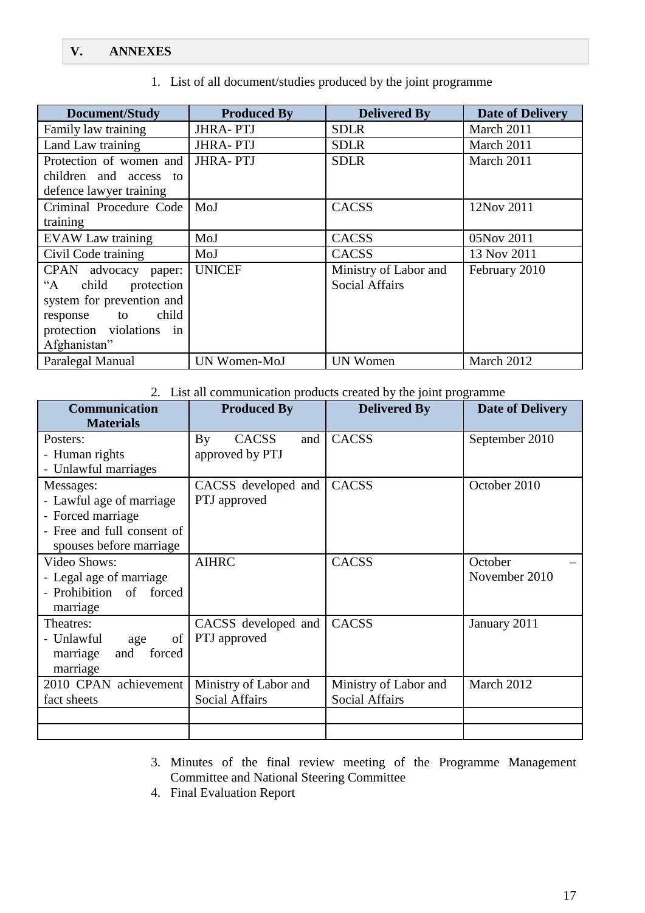## **V. ANNEXES**

1. List of all document/studies produced by the joint programme

| Document/Study                          | <b>Produced By</b> | <b>Delivered By</b>   | <b>Date of Delivery</b> |  |
|-----------------------------------------|--------------------|-----------------------|-------------------------|--|
| Family law training                     | <b>JHRA-PTJ</b>    | <b>SDLR</b>           | March 2011              |  |
| Land Law training                       | <b>JHRA-PTJ</b>    | <b>SDLR</b>           | March 2011              |  |
| Protection of women and                 | <b>JHRA-PTJ</b>    | <b>SDLR</b>           | March 2011              |  |
| children and access to                  |                    |                       |                         |  |
| defence lawyer training                 |                    |                       |                         |  |
| Criminal Procedure Code                 | MoJ                | <b>CACSS</b>          | 12Nov 2011              |  |
| training                                |                    |                       |                         |  |
| <b>EVAW Law training</b>                | MoJ                | <b>CACSS</b>          | 05Nov 2011              |  |
| Civil Code training                     | MoJ                | CACSS                 | 13 Nov 2011             |  |
| CPAN advocacy paper:                    | <b>UNICEF</b>      | Ministry of Labor and | February 2010           |  |
| protection<br>child<br>$A^{\cdot\cdot}$ |                    | <b>Social Affairs</b> |                         |  |
| system for prevention and               |                    |                       |                         |  |
| child<br>response<br>to                 |                    |                       |                         |  |
| protection violations in                |                    |                       |                         |  |
| Afghanistan"                            |                    |                       |                         |  |
| Paralegal Manual                        | UN Women-MoJ       | <b>UN Women</b>       | March 2012              |  |

### 2. List all communication products created by the joint programme

| <b>Communication</b>          | <b>Produced By</b>    | <b>Delivered By</b>   | <b>Date of Delivery</b> |  |  |
|-------------------------------|-----------------------|-----------------------|-------------------------|--|--|
| <b>Materials</b>              |                       |                       |                         |  |  |
| Posters:                      | CACSS<br>and<br>By    | <b>CACSS</b>          | September 2010          |  |  |
| - Human rights                | approved by PTJ       |                       |                         |  |  |
| - Unlawful marriages          |                       |                       |                         |  |  |
| Messages:                     | CACSS developed and   | <b>CACSS</b>          | October 2010            |  |  |
| - Lawful age of marriage      | PTJ approved          |                       |                         |  |  |
| - Forced marriage             |                       |                       |                         |  |  |
| - Free and full consent of    |                       |                       |                         |  |  |
| spouses before marriage       |                       |                       |                         |  |  |
| <b>Video Shows:</b>           | <b>AIHRC</b>          | <b>CACSS</b>          | October                 |  |  |
| - Legal age of marriage       |                       |                       | November 2010           |  |  |
| - Prohibition of forced       |                       |                       |                         |  |  |
| marriage                      |                       |                       |                         |  |  |
| Theatres:                     | CACSS developed and   | <b>CACSS</b>          | January 2011            |  |  |
| - Unlawful<br>$\sigma$<br>age | PTJ approved          |                       |                         |  |  |
| marriage<br>forced<br>and     |                       |                       |                         |  |  |
| marriage                      |                       |                       |                         |  |  |
| 2010 CPAN achievement         | Ministry of Labor and | Ministry of Labor and | March 2012              |  |  |
| fact sheets                   | <b>Social Affairs</b> | <b>Social Affairs</b> |                         |  |  |
|                               |                       |                       |                         |  |  |
|                               |                       |                       |                         |  |  |

3. Minutes of the final review meeting of the Programme Management Committee and National Steering Committee

4. Final Evaluation Report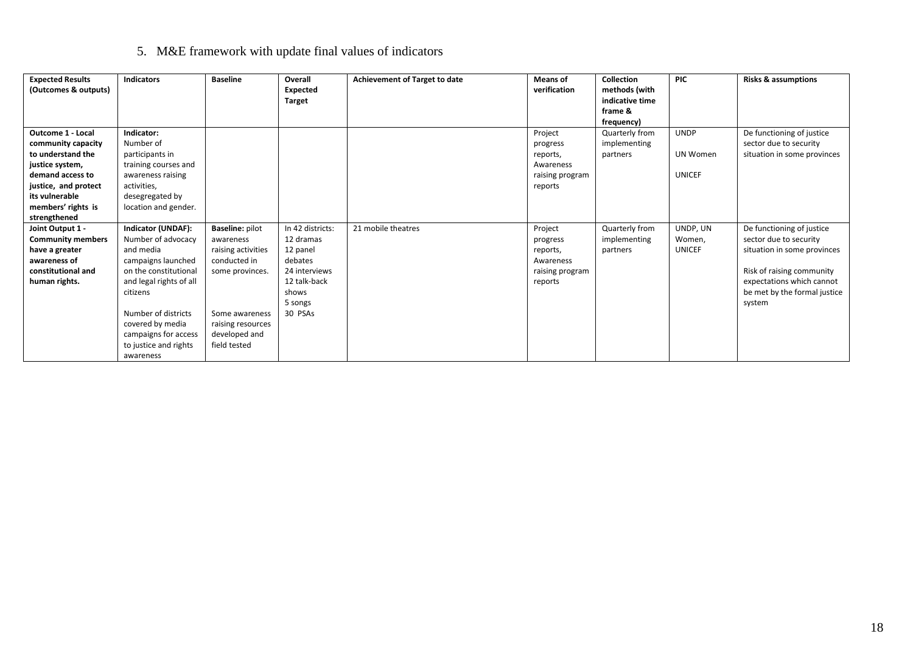# 5. M&E framework with update final values of indicators

| <b>Expected Results</b><br>(Outcomes & outputs)                                                                                                                                            | <b>Indicators</b>                                                                                                                                                                                                                                    | <b>Baseline</b>                                                                                                                                                      | Overall<br>Expected<br><b>Target</b>                                                                                 | Achievement of Target to date | Means of<br>verification                                                   | <b>Collection</b><br>methods (with<br>indicative time<br>frame &<br>frequency) | <b>PIC</b>                               | <b>Risks &amp; assumptions</b>                                                                                                                                                         |
|--------------------------------------------------------------------------------------------------------------------------------------------------------------------------------------------|------------------------------------------------------------------------------------------------------------------------------------------------------------------------------------------------------------------------------------------------------|----------------------------------------------------------------------------------------------------------------------------------------------------------------------|----------------------------------------------------------------------------------------------------------------------|-------------------------------|----------------------------------------------------------------------------|--------------------------------------------------------------------------------|------------------------------------------|----------------------------------------------------------------------------------------------------------------------------------------------------------------------------------------|
| <b>Outcome 1 - Local</b><br>community capacity<br>to understand the<br>justice system,<br>demand access to<br>justice, and protect<br>its vulnerable<br>members' rights is<br>strengthened | Indicator:<br>Number of<br>participants in<br>training courses and<br>awareness raising<br>activities,<br>desegregated by<br>location and gender.                                                                                                    |                                                                                                                                                                      |                                                                                                                      |                               | Project<br>progress<br>reports,<br>Awareness<br>raising program<br>reports | Quarterly from<br>implementing<br>partners                                     | <b>UNDP</b><br>UN Women<br><b>UNICEF</b> | De functioning of justice<br>sector due to security<br>situation in some provinces                                                                                                     |
| Joint Output 1 -<br><b>Community members</b><br>have a greater<br>awareness of<br>constitutional and<br>human rights.                                                                      | Indicator (UNDAF):<br>Number of advocacy<br>and media<br>campaigns launched<br>on the constitutional<br>and legal rights of all<br>citizens<br>Number of districts<br>covered by media<br>campaigns for access<br>to justice and rights<br>awareness | <b>Baseline: pilot</b><br>awareness<br>raising activities<br>conducted in<br>some provinces.<br>Some awareness<br>raising resources<br>developed and<br>field tested | In 42 districts:<br>12 dramas<br>12 panel<br>debates<br>24 interviews<br>12 talk-back<br>shows<br>5 songs<br>30 PSAs | 21 mobile theatres            | Project<br>progress<br>reports,<br>Awareness<br>raising program<br>reports | Quarterly from<br>implementing<br>partners                                     | UNDP, UN<br>Women,<br><b>UNICEF</b>      | De functioning of justice<br>sector due to security<br>situation in some provinces<br>Risk of raising community<br>expectations which cannot<br>be met by the formal justice<br>system |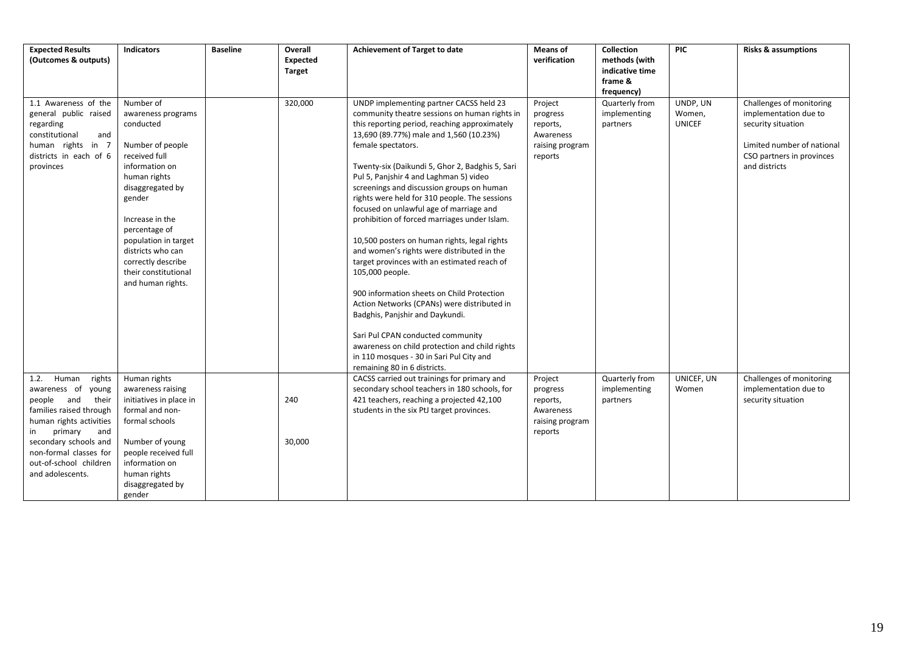| <b>Expected Results</b><br>(Outcomes & outputs)                                                                                                                                                                                                     | <b>Indicators</b>                                                                                                                                                                                                                                                                                     | <b>Baseline</b> | Overall<br><b>Expected</b><br><b>Target</b> | Achievement of Target to date                                                                                                                                                                                                                                                                                                                                                                                                                                                                                                                                                                                                                                                                                                                                                                                                                                                                                                                                       | Means of<br>verification                                                   | Collection<br>methods (with<br>indicative time<br>frame &<br>frequency) | <b>PIC</b>                          | <b>Risks &amp; assumptions</b>                                                                                                                      |
|-----------------------------------------------------------------------------------------------------------------------------------------------------------------------------------------------------------------------------------------------------|-------------------------------------------------------------------------------------------------------------------------------------------------------------------------------------------------------------------------------------------------------------------------------------------------------|-----------------|---------------------------------------------|---------------------------------------------------------------------------------------------------------------------------------------------------------------------------------------------------------------------------------------------------------------------------------------------------------------------------------------------------------------------------------------------------------------------------------------------------------------------------------------------------------------------------------------------------------------------------------------------------------------------------------------------------------------------------------------------------------------------------------------------------------------------------------------------------------------------------------------------------------------------------------------------------------------------------------------------------------------------|----------------------------------------------------------------------------|-------------------------------------------------------------------------|-------------------------------------|-----------------------------------------------------------------------------------------------------------------------------------------------------|
| 1.1 Awareness of the<br>general public raised<br>regarding<br>constitutional<br>and<br>human rights in 7<br>districts in each of 6<br>provinces                                                                                                     | Number of<br>awareness programs<br>conducted<br>Number of people<br>received full<br>information on<br>human rights<br>disaggregated by<br>gender<br>Increase in the<br>percentage of<br>population in target<br>districts who can<br>correctly describe<br>their constitutional<br>and human rights. |                 | 320,000                                     | UNDP implementing partner CACSS held 23<br>community theatre sessions on human rights in<br>this reporting period, reaching approximately<br>13,690 (89.77%) male and 1,560 (10.23%)<br>female spectators.<br>Twenty-six (Daikundi 5, Ghor 2, Badghis 5, Sari<br>Pul 5, Panjshir 4 and Laghman 5) video<br>screenings and discussion groups on human<br>rights were held for 310 people. The sessions<br>focused on unlawful age of marriage and<br>prohibition of forced marriages under Islam.<br>10,500 posters on human rights, legal rights<br>and women's rights were distributed in the<br>target provinces with an estimated reach of<br>105,000 people.<br>900 information sheets on Child Protection<br>Action Networks (CPANs) were distributed in<br>Badghis, Panjshir and Daykundi.<br>Sari Pul CPAN conducted community<br>awareness on child protection and child rights<br>in 110 mosques - 30 in Sari Pul City and<br>remaining 80 in 6 districts. | Project<br>progress<br>reports,<br>Awareness<br>raising program<br>reports | Quarterly from<br>implementing<br>partners                              | UNDP, UN<br>Women,<br><b>UNICEF</b> | Challenges of monitoring<br>implementation due to<br>security situation<br>Limited number of national<br>CSO partners in provinces<br>and districts |
| Human<br>rights<br>1.2.<br>awareness of young<br>people and<br>their<br>families raised through<br>human rights activities<br>primary<br>and<br>in<br>secondary schools and<br>non-formal classes for<br>out-of-school children<br>and adolescents. | Human rights<br>awareness raising<br>initiatives in place in<br>formal and non-<br>formal schools<br>Number of young<br>people received full<br>information on<br>human rights<br>disaggregated by<br>gender                                                                                          |                 | 240<br>30,000                               | CACSS carried out trainings for primary and<br>secondary school teachers in 180 schools, for<br>421 teachers, reaching a projected 42,100<br>students in the six PtJ target provinces.                                                                                                                                                                                                                                                                                                                                                                                                                                                                                                                                                                                                                                                                                                                                                                              | Project<br>progress<br>reports,<br>Awareness<br>raising program<br>reports | Quarterly from<br>implementing<br>partners                              | UNICEF, UN<br>Women                 | Challenges of monitoring<br>implementation due to<br>security situation                                                                             |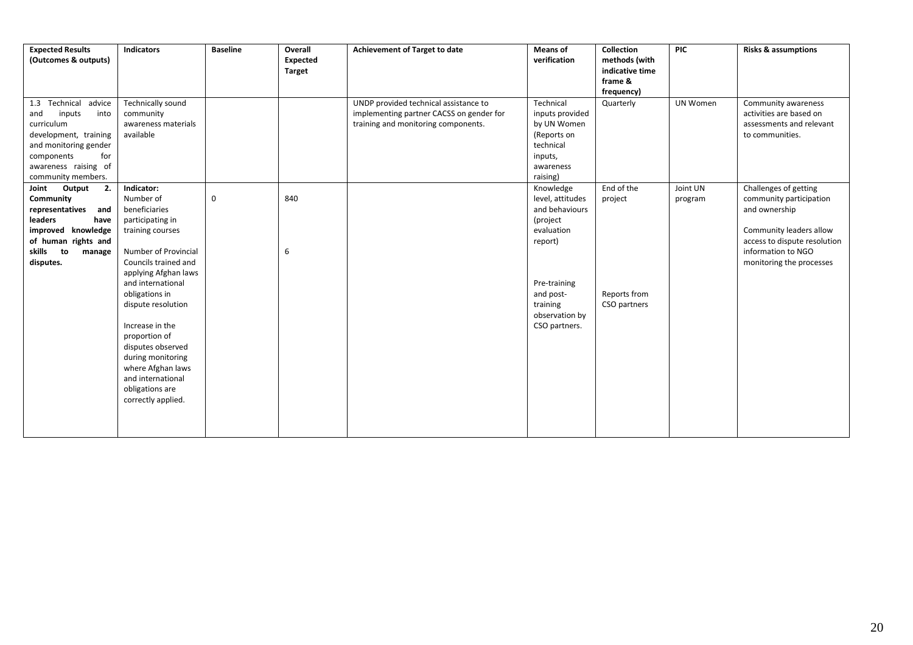| <b>Expected Results</b> | <b>Indicators</b>    | <b>Baseline</b>  | Overall       | Achievement of Target to date            | <b>Means of</b>  | <b>Collection</b> | <b>PIC</b> | <b>Risks &amp; assumptions</b> |
|-------------------------|----------------------|------------------|---------------|------------------------------------------|------------------|-------------------|------------|--------------------------------|
| (Outcomes & outputs)    |                      |                  | Expected      |                                          | verification     | methods (with     |            |                                |
|                         |                      |                  | <b>Target</b> |                                          |                  | indicative time   |            |                                |
|                         |                      |                  |               |                                          |                  | frame &           |            |                                |
|                         |                      |                  |               |                                          |                  | frequency)        |            |                                |
| 1.3 Technical advice    | Technically sound    |                  |               | UNDP provided technical assistance to    | Technical        | Quarterly         | UN Women   | Community awareness            |
| and<br>inputs<br>into   | community            |                  |               | implementing partner CACSS on gender for | inputs provided  |                   |            | activities are based on        |
| curriculum              | awareness materials  |                  |               | training and monitoring components.      | by UN Women      |                   |            | assessments and relevant       |
| development, training   | available            |                  |               |                                          | (Reports on      |                   |            | to communities.                |
| and monitoring gender   |                      |                  |               |                                          | technical        |                   |            |                                |
| components<br>for       |                      |                  |               |                                          | inputs,          |                   |            |                                |
| awareness raising of    |                      |                  |               |                                          | awareness        |                   |            |                                |
| community members.      |                      |                  |               |                                          | raising)         |                   |            |                                |
| Joint Output<br>2.      | Indicator:           |                  |               |                                          | Knowledge        | End of the        | Joint UN   | Challenges of getting          |
| Community               | Number of            | $\boldsymbol{0}$ | 840           |                                          | level, attitudes | project           | program    | community participation        |
| representatives<br>and  | beneficiaries        |                  |               |                                          | and behaviours   |                   |            | and ownership                  |
| leaders<br>have         | participating in     |                  |               |                                          | (project         |                   |            |                                |
| improved knowledge      | training courses     |                  |               |                                          | evaluation       |                   |            | Community leaders allow        |
| of human rights and     |                      |                  |               |                                          | report)          |                   |            | access to dispute resolution   |
| skills to<br>manage     | Number of Provincial |                  | 6             |                                          |                  |                   |            | information to NGO             |
| disputes.               | Councils trained and |                  |               |                                          |                  |                   |            | monitoring the processes       |
|                         | applying Afghan laws |                  |               |                                          |                  |                   |            |                                |
|                         | and international    |                  |               |                                          | Pre-training     |                   |            |                                |
|                         | obligations in       |                  |               |                                          | and post-        | Reports from      |            |                                |
|                         | dispute resolution   |                  |               |                                          | training         | CSO partners      |            |                                |
|                         |                      |                  |               |                                          | observation by   |                   |            |                                |
|                         | Increase in the      |                  |               |                                          | CSO partners.    |                   |            |                                |
|                         | proportion of        |                  |               |                                          |                  |                   |            |                                |
|                         | disputes observed    |                  |               |                                          |                  |                   |            |                                |
|                         | during monitoring    |                  |               |                                          |                  |                   |            |                                |
|                         | where Afghan laws    |                  |               |                                          |                  |                   |            |                                |
|                         | and international    |                  |               |                                          |                  |                   |            |                                |
|                         | obligations are      |                  |               |                                          |                  |                   |            |                                |
|                         | correctly applied.   |                  |               |                                          |                  |                   |            |                                |
|                         |                      |                  |               |                                          |                  |                   |            |                                |
|                         |                      |                  |               |                                          |                  |                   |            |                                |
|                         |                      |                  |               |                                          |                  |                   |            |                                |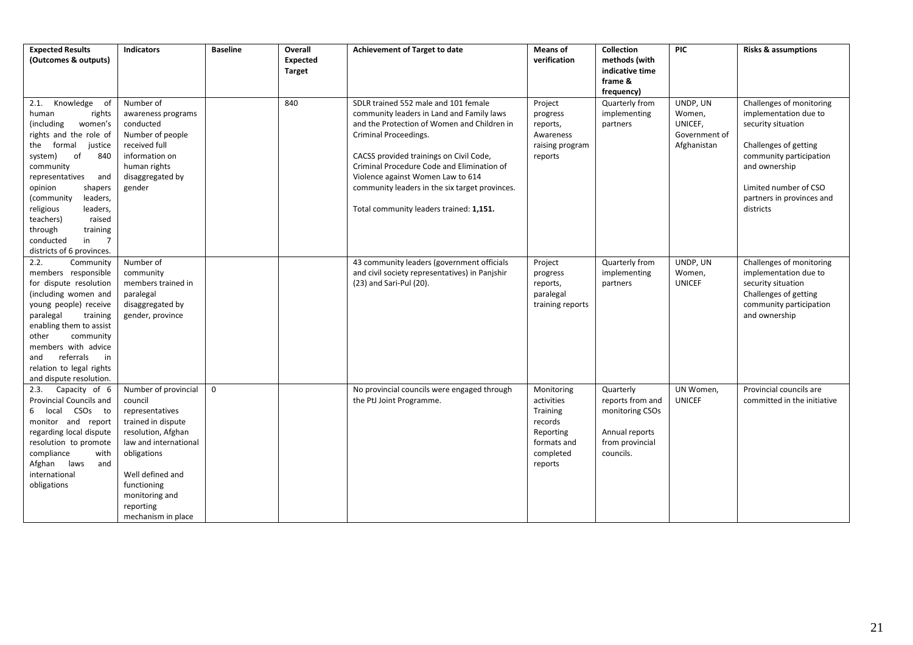| <b>Expected Results</b><br>(Outcomes & outputs)                                                                                                                                                                                                                                                                                                               | <b>Indicators</b>                                                                                                                                                                                                              | <b>Baseline</b> | Overall<br>Expected<br><b>Target</b> | Achievement of Target to date                                                                                                                                                                                                                                                                                                                                                        | Means of<br>verification                                                                            | Collection<br>methods (with<br>indicative time<br>frame &<br>frequency)                            | <b>PIC</b>                                                    | <b>Risks &amp; assumptions</b>                                                                                                                                                                                  |
|---------------------------------------------------------------------------------------------------------------------------------------------------------------------------------------------------------------------------------------------------------------------------------------------------------------------------------------------------------------|--------------------------------------------------------------------------------------------------------------------------------------------------------------------------------------------------------------------------------|-----------------|--------------------------------------|--------------------------------------------------------------------------------------------------------------------------------------------------------------------------------------------------------------------------------------------------------------------------------------------------------------------------------------------------------------------------------------|-----------------------------------------------------------------------------------------------------|----------------------------------------------------------------------------------------------------|---------------------------------------------------------------|-----------------------------------------------------------------------------------------------------------------------------------------------------------------------------------------------------------------|
| 2.1. Knowledge of<br>human<br>rights<br>(including<br>women's<br>rights and the role of<br>formal<br>justice<br>the<br>of<br>system)<br>840<br>community<br>representatives<br>and<br>opinion<br>shapers<br>(community<br>leaders,<br>religious<br>leaders,<br>teachers)<br>raised<br>through<br>training<br>$in$ 7<br>conducted<br>districts of 6 provinces. | Number of<br>awareness programs<br>conducted<br>Number of people<br>received full<br>information on<br>human rights<br>disaggregated by<br>gender                                                                              |                 | 840                                  | SDLR trained 552 male and 101 female<br>community leaders in Land and Family laws<br>and the Protection of Women and Children in<br>Criminal Proceedings.<br>CACSS provided trainings on Civil Code,<br>Criminal Procedure Code and Elimination of<br>Violence against Women Law to 614<br>community leaders in the six target provinces.<br>Total community leaders trained: 1,151. | Project<br>progress<br>reports,<br>Awareness<br>raising program<br>reports                          | Quarterly from<br>implementing<br>partners                                                         | UNDP, UN<br>Women,<br>UNICEF,<br>Government of<br>Afghanistan | Challenges of monitoring<br>implementation due to<br>security situation<br>Challenges of getting<br>community participation<br>and ownership<br>Limited number of CSO<br>partners in provinces and<br>districts |
| 2.2.<br>Community<br>members responsible<br>for dispute resolution<br>(including women and<br>young people) receive<br>paralegal<br>training<br>enabling them to assist<br>other<br>community<br>members with advice<br>referrals<br>and<br>in<br>relation to legal rights<br>and dispute resolution.                                                         | Number of<br>community<br>members trained in<br>paralegal<br>disaggregated by<br>gender, province                                                                                                                              |                 |                                      | 43 community leaders (government officials<br>and civil society representatives) in Panjshir<br>(23) and Sari-Pul (20).                                                                                                                                                                                                                                                              | Project<br>progress<br>reports,<br>paralegal<br>training reports                                    | Quarterly from<br>implementing<br>partners                                                         | UNDP, UN<br>Women,<br><b>UNICEF</b>                           | Challenges of monitoring<br>implementation due to<br>security situation<br>Challenges of getting<br>community participation<br>and ownership                                                                    |
| Capacity of 6<br>2.3.<br>Provincial Councils and<br>6 local CSOs to<br>monitor and report<br>regarding local dispute<br>resolution to promote<br>compliance<br>with<br>Afghan laws<br>and<br>international<br>obligations                                                                                                                                     | Number of provincial<br>council<br>representatives<br>trained in dispute<br>resolution, Afghan<br>law and international<br>obligations<br>Well defined and<br>functioning<br>monitoring and<br>reporting<br>mechanism in place | $\mathbf 0$     |                                      | No provincial councils were engaged through<br>the PtJ Joint Programme.                                                                                                                                                                                                                                                                                                              | Monitoring<br>activities<br>Training<br>records<br>Reporting<br>formats and<br>completed<br>reports | Quarterly<br>reports from and<br>monitoring CSOs<br>Annual reports<br>from provincial<br>councils. | UN Women,<br><b>UNICEF</b>                                    | Provincial councils are<br>committed in the initiative                                                                                                                                                          |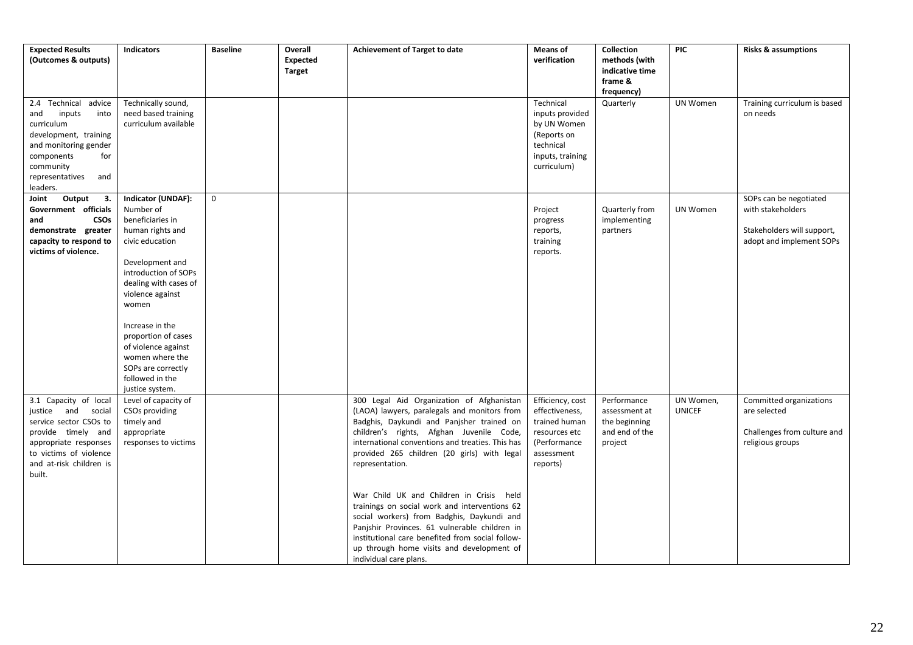| <b>Expected Results</b><br>(Outcomes & outputs)                                                                                                                                       | <b>Indicators</b>                                                                                                                                                                                                                                                                                                                           | <b>Baseline</b> | Overall<br><b>Expected</b> | Achievement of Target to date                                                                                                                                                                                                                                                                                                                                                                                                                                                                                                                                                                                                   | <b>Means of</b><br>verification                                                                                | <b>Collection</b><br>methods (with                                         | <b>PIC</b>                 | <b>Risks &amp; assumptions</b>                                                                        |
|---------------------------------------------------------------------------------------------------------------------------------------------------------------------------------------|---------------------------------------------------------------------------------------------------------------------------------------------------------------------------------------------------------------------------------------------------------------------------------------------------------------------------------------------|-----------------|----------------------------|---------------------------------------------------------------------------------------------------------------------------------------------------------------------------------------------------------------------------------------------------------------------------------------------------------------------------------------------------------------------------------------------------------------------------------------------------------------------------------------------------------------------------------------------------------------------------------------------------------------------------------|----------------------------------------------------------------------------------------------------------------|----------------------------------------------------------------------------|----------------------------|-------------------------------------------------------------------------------------------------------|
|                                                                                                                                                                                       |                                                                                                                                                                                                                                                                                                                                             |                 | <b>Target</b>              |                                                                                                                                                                                                                                                                                                                                                                                                                                                                                                                                                                                                                                 |                                                                                                                | indicative time<br>frame &<br>frequency)                                   |                            |                                                                                                       |
| 2.4 Technical advice<br>inputs<br>and<br>into<br>curriculum<br>development, training<br>and monitoring gender<br>components<br>for<br>community<br>representatives<br>and<br>leaders. | Technically sound,<br>need based training<br>curriculum available                                                                                                                                                                                                                                                                           |                 |                            |                                                                                                                                                                                                                                                                                                                                                                                                                                                                                                                                                                                                                                 | Technical<br>inputs provided<br>by UN Women<br>(Reports on<br>technical<br>inputs, training<br>curriculum)     | Quarterly                                                                  | UN Women                   | Training curriculum is based<br>on needs                                                              |
| Output<br>3.<br>Joint<br>Government officials<br>and<br><b>CSOs</b><br>demonstrate greater<br>capacity to respond to<br>victims of violence.                                          | Indicator (UNDAF):<br>Number of<br>beneficiaries in<br>human rights and<br>civic education<br>Development and<br>introduction of SOPs<br>dealing with cases of<br>violence against<br>women<br>Increase in the<br>proportion of cases<br>of violence against<br>women where the<br>SOPs are correctly<br>followed in the<br>justice system. | $\mathbf 0$     |                            |                                                                                                                                                                                                                                                                                                                                                                                                                                                                                                                                                                                                                                 | Project<br>progress<br>reports,<br>training<br>reports.                                                        | Quarterly from<br>implementing<br>partners                                 | <b>UN Women</b>            | SOPs can be negotiated<br>with stakeholders<br>Stakeholders will support,<br>adopt and implement SOPs |
| 3.1 Capacity of local<br>justice and social<br>service sector CSOs to<br>provide timely and<br>appropriate responses<br>to victims of violence<br>and at-risk children is<br>built.   | Level of capacity of<br>CSOs providing<br>timely and<br>appropriate<br>responses to victims                                                                                                                                                                                                                                                 |                 |                            | 300 Legal Aid Organization of Afghanistan<br>(LAOA) lawyers, paralegals and monitors from<br>Badghis, Daykundi and Panjsher trained on<br>children's rights, Afghan Juvenile Code,<br>international conventions and treaties. This has<br>provided 265 children (20 girls) with legal<br>representation.<br>War Child UK and Children in Crisis held<br>trainings on social work and interventions 62<br>social workers) from Badghis, Daykundi and<br>Panjshir Provinces. 61 vulnerable children in<br>institutional care benefited from social follow-<br>up through home visits and development of<br>individual care plans. | Efficiency, cost<br>effectiveness,<br>trained human<br>resources etc<br>(Performance<br>assessment<br>reports) | Performance<br>assessment at<br>the beginning<br>and end of the<br>project | UN Women,<br><b>UNICEF</b> | Committed organizations<br>are selected<br>Challenges from culture and<br>religious groups            |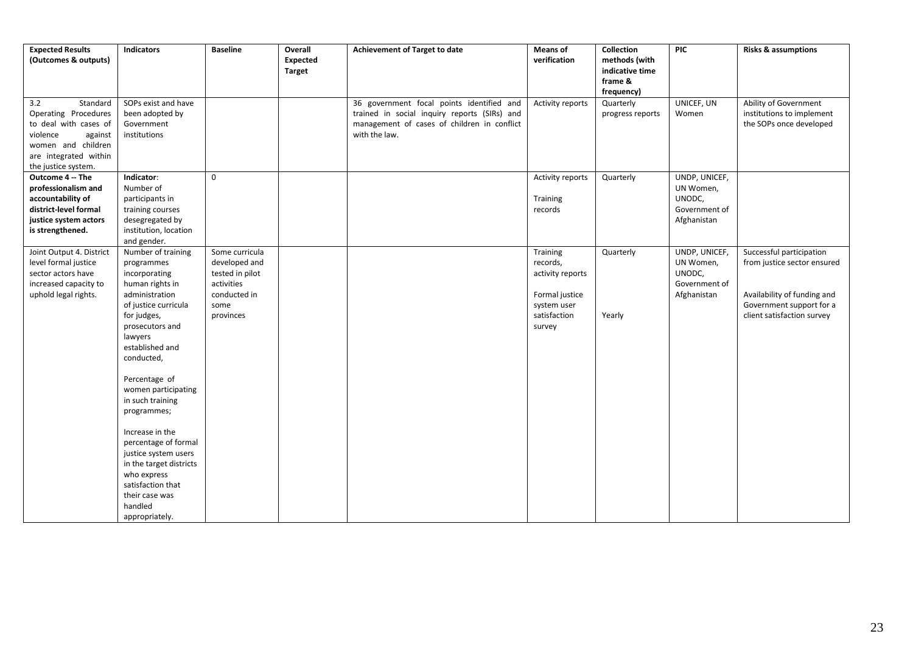| <b>Expected Results</b><br>(Outcomes & outputs)                                                                                                               | <b>Indicators</b>                                                                                                                                                                                                                                                                                                                                                                                                                                        | <b>Baseline</b>                                                                                       | Overall<br>Expected<br>Target | Achievement of Target to date                                                                                                                             | <b>Means of</b><br>verification                                                                     | Collection<br>methods (with<br>indicative time<br>frame &<br>frequency) | <b>PIC</b>                                                           | <b>Risks &amp; assumptions</b>                                                                                                                   |
|---------------------------------------------------------------------------------------------------------------------------------------------------------------|----------------------------------------------------------------------------------------------------------------------------------------------------------------------------------------------------------------------------------------------------------------------------------------------------------------------------------------------------------------------------------------------------------------------------------------------------------|-------------------------------------------------------------------------------------------------------|-------------------------------|-----------------------------------------------------------------------------------------------------------------------------------------------------------|-----------------------------------------------------------------------------------------------------|-------------------------------------------------------------------------|----------------------------------------------------------------------|--------------------------------------------------------------------------------------------------------------------------------------------------|
| 3.2<br>Standard<br>Operating Procedures<br>to deal with cases of<br>violence<br>against<br>women and children<br>are integrated within<br>the justice system. | SOPs exist and have<br>been adopted by<br>Government<br>institutions                                                                                                                                                                                                                                                                                                                                                                                     |                                                                                                       |                               | 36 government focal points identified and<br>trained in social inquiry reports (SIRs) and<br>management of cases of children in conflict<br>with the law. | Activity reports                                                                                    | Quarterly<br>progress reports                                           | UNICEF, UN<br>Women                                                  | Ability of Government<br>institutions to implement<br>the SOPs once developed                                                                    |
| Outcome 4 -- The<br>professionalism and<br>accountability of<br>district-level formal<br>justice system actors<br>is strengthened.                            | Indicator:<br>Number of<br>participants in<br>training courses<br>desegregated by<br>institution, location<br>and gender.                                                                                                                                                                                                                                                                                                                                | $\mathbf 0$                                                                                           |                               |                                                                                                                                                           | Activity reports<br>Training<br>records                                                             | Quarterly                                                               | UNDP, UNICEF,<br>UN Women,<br>UNODC,<br>Government of<br>Afghanistan |                                                                                                                                                  |
| Joint Output 4. District<br>level formal justice<br>sector actors have<br>increased capacity to<br>uphold legal rights.                                       | Number of training<br>programmes<br>incorporating<br>human rights in<br>administration<br>of justice curricula<br>for judges,<br>prosecutors and<br>lawyers<br>established and<br>conducted,<br>Percentage of<br>women participating<br>in such training<br>programmes;<br>Increase in the<br>percentage of formal<br>justice system users<br>in the target districts<br>who express<br>satisfaction that<br>their case was<br>handled<br>appropriately. | Some curricula<br>developed and<br>tested in pilot<br>activities<br>conducted in<br>some<br>provinces |                               |                                                                                                                                                           | Training<br>records,<br>activity reports<br>Formal justice<br>system user<br>satisfaction<br>survey | Quarterly<br>Yearly                                                     | UNDP, UNICEF,<br>UN Women,<br>UNODC,<br>Government of<br>Afghanistan | Successful participation<br>from justice sector ensured<br>Availability of funding and<br>Government support for a<br>client satisfaction survey |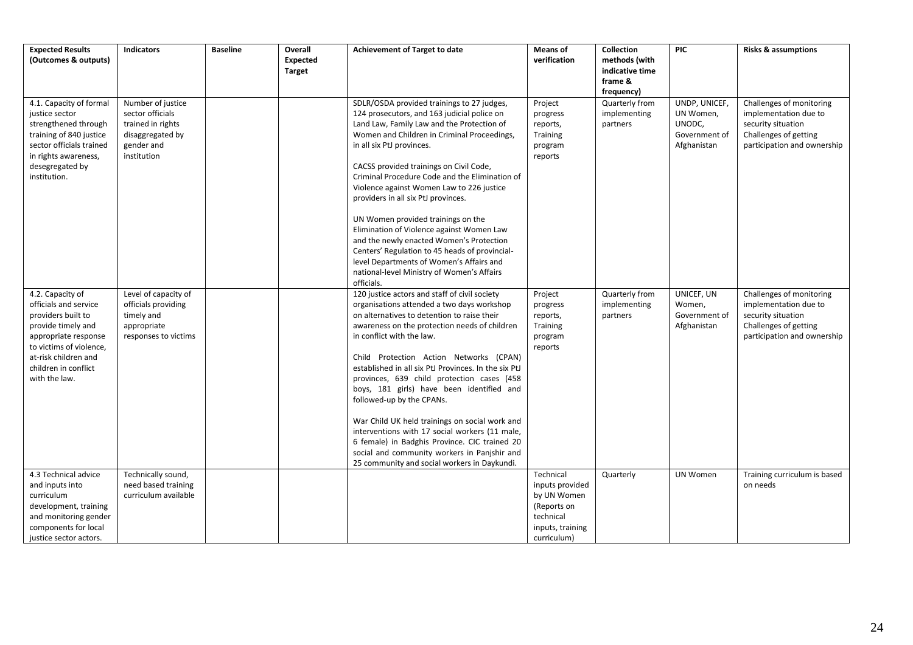| <b>Expected Results</b><br>(Outcomes & outputs)                                                                                                                                                           | <b>Indicators</b>                                                                                           | <b>Baseline</b> | Overall<br><b>Expected</b><br><b>Target</b> | <b>Achievement of Target to date</b>                                                                                                                                                                                                                                                                                                                                                                                                                                                                                                                                                                                                                                                                     | <b>Means of</b><br>verification                                                                            | Collection<br>methods (with<br>indicative time<br>frame &<br>frequency) | <b>PIC</b>                                                           | <b>Risks &amp; assumptions</b>                                                                                                  |
|-----------------------------------------------------------------------------------------------------------------------------------------------------------------------------------------------------------|-------------------------------------------------------------------------------------------------------------|-----------------|---------------------------------------------|----------------------------------------------------------------------------------------------------------------------------------------------------------------------------------------------------------------------------------------------------------------------------------------------------------------------------------------------------------------------------------------------------------------------------------------------------------------------------------------------------------------------------------------------------------------------------------------------------------------------------------------------------------------------------------------------------------|------------------------------------------------------------------------------------------------------------|-------------------------------------------------------------------------|----------------------------------------------------------------------|---------------------------------------------------------------------------------------------------------------------------------|
| 4.1. Capacity of formal<br>justice sector<br>strengthened through<br>training of 840 justice<br>sector officials trained<br>in rights awareness,<br>desegregated by<br>institution.                       | Number of justice<br>sector officials<br>trained in rights<br>disaggregated by<br>gender and<br>institution |                 |                                             | SDLR/OSDA provided trainings to 27 judges,<br>124 prosecutors, and 163 judicial police on<br>Land Law, Family Law and the Protection of<br>Women and Children in Criminal Proceedings,<br>in all six PtJ provinces.<br>CACSS provided trainings on Civil Code,<br>Criminal Procedure Code and the Elimination of<br>Violence against Women Law to 226 justice<br>providers in all six PtJ provinces.<br>UN Women provided trainings on the<br>Elimination of Violence against Women Law<br>and the newly enacted Women's Protection<br>Centers' Regulation to 45 heads of provincial-<br>level Departments of Women's Affairs and<br>national-level Ministry of Women's Affairs<br>officials.            | Project<br>progress<br>reports,<br>Training<br>program<br>reports                                          | Quarterly from<br>implementing<br>partners                              | UNDP, UNICEF,<br>UN Women,<br>UNODC,<br>Government of<br>Afghanistan | Challenges of monitoring<br>implementation due to<br>security situation<br>Challenges of getting<br>participation and ownership |
| 4.2. Capacity of<br>officials and service<br>providers built to<br>provide timely and<br>appropriate response<br>to victims of violence,<br>at-risk children and<br>children in conflict<br>with the law. | Level of capacity of<br>officials providing<br>timely and<br>appropriate<br>responses to victims            |                 |                                             | 120 justice actors and staff of civil society<br>organisations attended a two days workshop<br>on alternatives to detention to raise their<br>awareness on the protection needs of children<br>in conflict with the law.<br>Child Protection Action Networks (CPAN)<br>established in all six PtJ Provinces. In the six PtJ<br>provinces, 639 child protection cases (458<br>boys, 181 girls) have been identified and<br>followed-up by the CPANs.<br>War Child UK held trainings on social work and<br>interventions with 17 social workers (11 male,<br>6 female) in Badghis Province. CIC trained 20<br>social and community workers in Panjshir and<br>25 community and social workers in Daykundi. | Project<br>progress<br>reports,<br>Training<br>program<br>reports                                          | Quarterly from<br>implementing<br>partners                              | UNICEF, UN<br>Women,<br>Government of<br>Afghanistan                 | Challenges of monitoring<br>implementation due to<br>security situation<br>Challenges of getting<br>participation and ownership |
| 4.3 Technical advice<br>and inputs into<br>curriculum<br>development, training<br>and monitoring gender<br>components for local<br>justice sector actors.                                                 | Technically sound,<br>need based training<br>curriculum available                                           |                 |                                             |                                                                                                                                                                                                                                                                                                                                                                                                                                                                                                                                                                                                                                                                                                          | Technical<br>inputs provided<br>by UN Women<br>(Reports on<br>technical<br>inputs, training<br>curriculum) | Quarterly                                                               | UN Women                                                             | Training curriculum is based<br>on needs                                                                                        |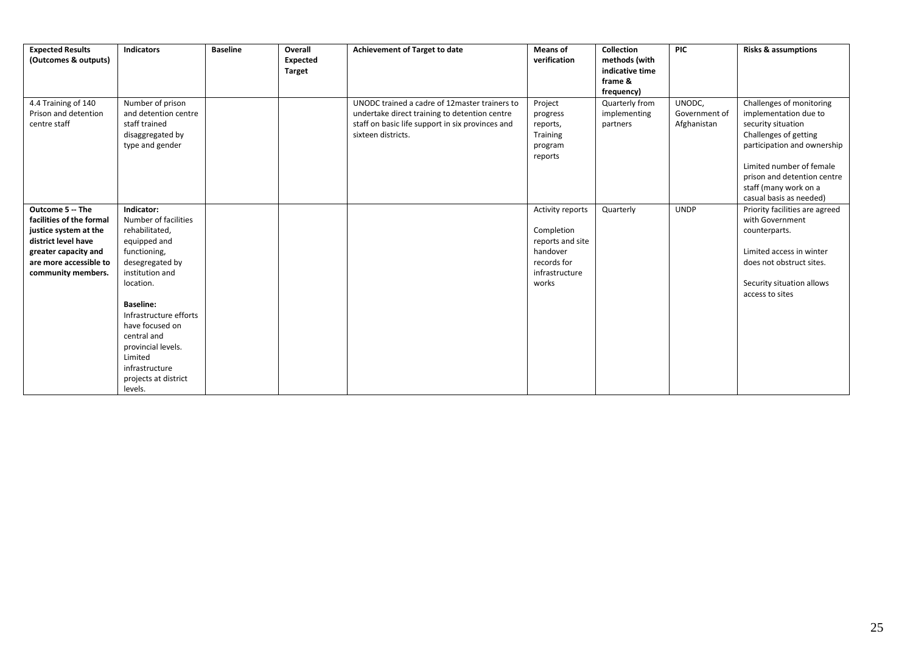| <b>Expected Results</b><br>(Outcomes & outputs)             | <b>Indicators</b>                                                                                | <b>Baseline</b> | Overall<br>Expected<br><b>Target</b> | <b>Achievement of Target to date</b>                                                                                                                                     | <b>Means of</b><br>verification                                   | Collection<br>methods (with<br>indicative time<br>frame & | <b>PIC</b>                             | <b>Risks &amp; assumptions</b>                                                                                                                                                                                                                 |
|-------------------------------------------------------------|--------------------------------------------------------------------------------------------------|-----------------|--------------------------------------|--------------------------------------------------------------------------------------------------------------------------------------------------------------------------|-------------------------------------------------------------------|-----------------------------------------------------------|----------------------------------------|------------------------------------------------------------------------------------------------------------------------------------------------------------------------------------------------------------------------------------------------|
|                                                             |                                                                                                  |                 |                                      |                                                                                                                                                                          |                                                                   | frequency)                                                |                                        |                                                                                                                                                                                                                                                |
| 4.4 Training of 140<br>Prison and detention<br>centre staff | Number of prison<br>and detention centre<br>staff trained<br>disaggregated by<br>type and gender |                 |                                      | UNODC trained a cadre of 12master trainers to<br>undertake direct training to detention centre<br>staff on basic life support in six provinces and<br>sixteen districts. | Project<br>progress<br>reports,<br>Training<br>program<br>reports | Quarterly from<br>implementing<br>partners                | UNODC,<br>Government of<br>Afghanistan | Challenges of monitoring<br>implementation due to<br>security situation<br>Challenges of getting<br>participation and ownership<br>Limited number of female<br>prison and detention centre<br>staff (many work on a<br>casual basis as needed) |
| Outcome 5 -- The                                            | Indicator:                                                                                       |                 |                                      |                                                                                                                                                                          | Activity reports                                                  | Quarterly                                                 | <b>UNDP</b>                            | Priority facilities are agreed                                                                                                                                                                                                                 |
| facilities of the formal                                    | Number of facilities                                                                             |                 |                                      |                                                                                                                                                                          |                                                                   |                                                           |                                        | with Government                                                                                                                                                                                                                                |
| justice system at the                                       | rehabilitated,                                                                                   |                 |                                      |                                                                                                                                                                          | Completion                                                        |                                                           |                                        | counterparts.                                                                                                                                                                                                                                  |
| district level have                                         | equipped and                                                                                     |                 |                                      |                                                                                                                                                                          | reports and site                                                  |                                                           |                                        |                                                                                                                                                                                                                                                |
| greater capacity and                                        | functioning,                                                                                     |                 |                                      |                                                                                                                                                                          | handover                                                          |                                                           |                                        | Limited access in winter                                                                                                                                                                                                                       |
| are more accessible to                                      | desegregated by                                                                                  |                 |                                      |                                                                                                                                                                          | records for                                                       |                                                           |                                        | does not obstruct sites.                                                                                                                                                                                                                       |
| community members.                                          | institution and                                                                                  |                 |                                      |                                                                                                                                                                          | infrastructure                                                    |                                                           |                                        |                                                                                                                                                                                                                                                |
|                                                             | location.                                                                                        |                 |                                      |                                                                                                                                                                          | works                                                             |                                                           |                                        | Security situation allows                                                                                                                                                                                                                      |
|                                                             |                                                                                                  |                 |                                      |                                                                                                                                                                          |                                                                   |                                                           |                                        | access to sites                                                                                                                                                                                                                                |
|                                                             | <b>Baseline:</b>                                                                                 |                 |                                      |                                                                                                                                                                          |                                                                   |                                                           |                                        |                                                                                                                                                                                                                                                |
|                                                             | Infrastructure efforts                                                                           |                 |                                      |                                                                                                                                                                          |                                                                   |                                                           |                                        |                                                                                                                                                                                                                                                |
|                                                             | have focused on                                                                                  |                 |                                      |                                                                                                                                                                          |                                                                   |                                                           |                                        |                                                                                                                                                                                                                                                |
|                                                             | central and                                                                                      |                 |                                      |                                                                                                                                                                          |                                                                   |                                                           |                                        |                                                                                                                                                                                                                                                |
|                                                             | provincial levels.                                                                               |                 |                                      |                                                                                                                                                                          |                                                                   |                                                           |                                        |                                                                                                                                                                                                                                                |
|                                                             | Limited                                                                                          |                 |                                      |                                                                                                                                                                          |                                                                   |                                                           |                                        |                                                                                                                                                                                                                                                |
|                                                             | infrastructure                                                                                   |                 |                                      |                                                                                                                                                                          |                                                                   |                                                           |                                        |                                                                                                                                                                                                                                                |
|                                                             | projects at district                                                                             |                 |                                      |                                                                                                                                                                          |                                                                   |                                                           |                                        |                                                                                                                                                                                                                                                |
|                                                             | levels.                                                                                          |                 |                                      |                                                                                                                                                                          |                                                                   |                                                           |                                        |                                                                                                                                                                                                                                                |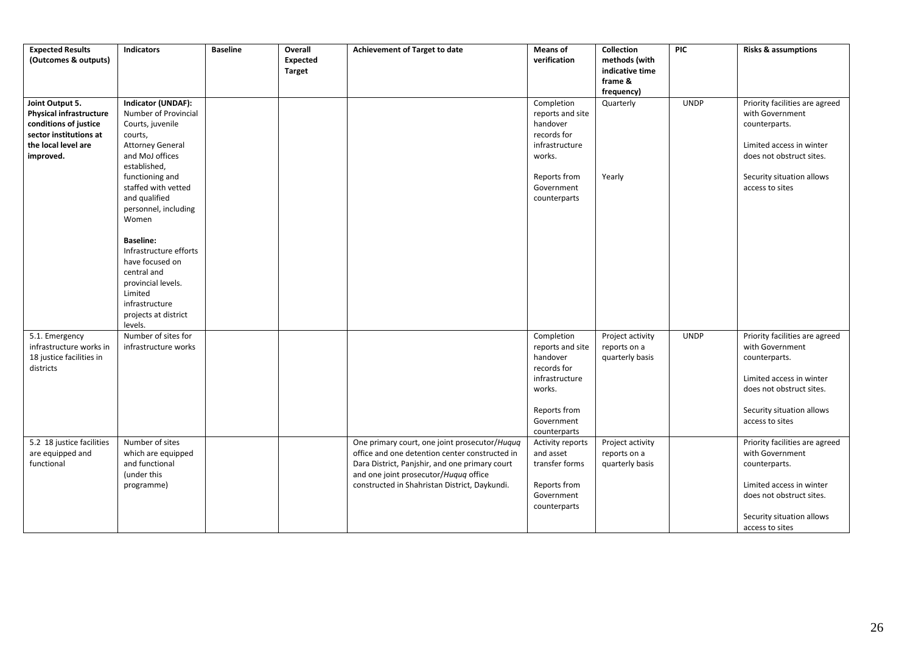| <b>Expected Results</b><br>(Outcomes & outputs)                                                                                          | <b>Indicators</b>                                                                                                                                       | <b>Baseline</b> | Overall<br>Expected<br><b>Target</b> | Achievement of Target to date                                                                                                                                                                                                               | <b>Means of</b><br>verification                                                                                                     | Collection<br>methods (with<br>indicative time<br>frame &<br>frequency) | <b>PIC</b>  | <b>Risks &amp; assumptions</b>                                                                                                                                             |
|------------------------------------------------------------------------------------------------------------------------------------------|---------------------------------------------------------------------------------------------------------------------------------------------------------|-----------------|--------------------------------------|---------------------------------------------------------------------------------------------------------------------------------------------------------------------------------------------------------------------------------------------|-------------------------------------------------------------------------------------------------------------------------------------|-------------------------------------------------------------------------|-------------|----------------------------------------------------------------------------------------------------------------------------------------------------------------------------|
| Joint Output 5.<br><b>Physical infrastructure</b><br>conditions of justice<br>sector institutions at<br>the local level are<br>improved. | Indicator (UNDAF):<br>Number of Provincial<br>Courts, juvenile<br>courts,<br><b>Attorney General</b><br>and MoJ offices<br>established,                 |                 |                                      |                                                                                                                                                                                                                                             | Completion<br>reports and site<br>handover<br>records for<br>infrastructure<br>works.                                               | Quarterly                                                               | <b>UNDP</b> | Priority facilities are agreed<br>with Government<br>counterparts.<br>Limited access in winter<br>does not obstruct sites.                                                 |
|                                                                                                                                          | functioning and<br>staffed with vetted<br>and qualified<br>personnel, including<br>Women                                                                |                 |                                      |                                                                                                                                                                                                                                             | Reports from<br>Government<br>counterparts                                                                                          | Yearly                                                                  |             | Security situation allows<br>access to sites                                                                                                                               |
|                                                                                                                                          | <b>Baseline:</b><br>Infrastructure efforts<br>have focused on<br>central and<br>provincial levels.<br>Limited<br>infrastructure<br>projects at district |                 |                                      |                                                                                                                                                                                                                                             |                                                                                                                                     |                                                                         |             |                                                                                                                                                                            |
| 5.1. Emergency<br>infrastructure works in<br>18 justice facilities in<br>districts                                                       | levels.<br>Number of sites for<br>infrastructure works                                                                                                  |                 |                                      |                                                                                                                                                                                                                                             | Completion<br>reports and site<br>handover<br>records for<br>infrastructure<br>works.<br>Reports from<br>Government<br>counterparts | Project activity<br>reports on a<br>quarterly basis                     | <b>UNDP</b> | Priority facilities are agreed<br>with Government<br>counterparts.<br>Limited access in winter<br>does not obstruct sites.<br>Security situation allows<br>access to sites |
| 5.2 18 justice facilities<br>are equipped and<br>functional                                                                              | Number of sites<br>which are equipped<br>and functional<br>(under this<br>programme)                                                                    |                 |                                      | One primary court, one joint prosecutor/Huquq<br>office and one detention center constructed in<br>Dara District, Panjshir, and one primary court<br>and one joint prosecutor/Huquq office<br>constructed in Shahristan District, Daykundi. | Activity reports<br>and asset<br>transfer forms<br>Reports from<br>Government<br>counterparts                                       | Project activity<br>reports on a<br>quarterly basis                     |             | Priority facilities are agreed<br>with Government<br>counterparts.<br>Limited access in winter<br>does not obstruct sites.<br>Security situation allows<br>access to sites |